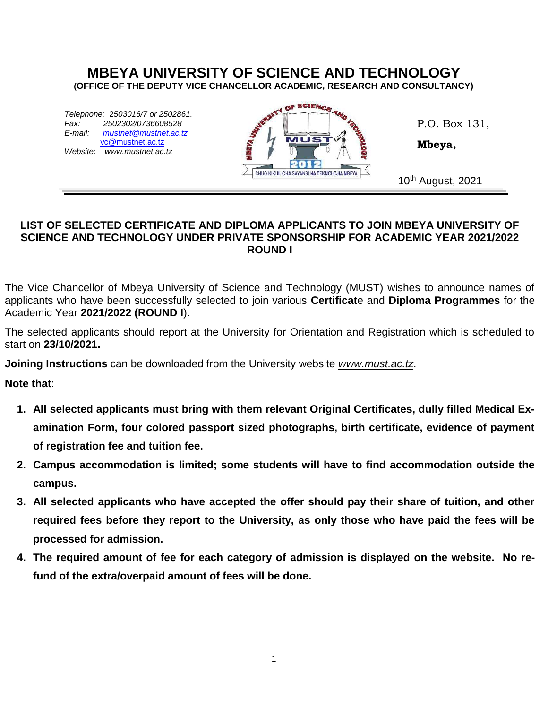## **MBEYA UNIVERSITY OF SCIENCE AND TECHNOLOGY (OFFICE OF THE DEPUTY VICE CHANCELLOR ACADEMIC, RESEARCH AND CONSULTANCY)**

*Telephone:* 2*503016/7 or 2502861. Fax: 2502302/0736608528 E-mail: mustnet@mustnet.ac.tz* [vc@mustnet.ac.tz](mailto:vc@mustnet.ac.tz) *Website*: *www.mustnet.ac.tz* 



P.O. Box 131,

**Mbeya,**

## **LIST OF SELECTED CERTIFICATE AND DIPLOMA APPLICANTS TO JOIN MBEYA UNIVERSITY OF SCIENCE AND TECHNOLOGY UNDER PRIVATE SPONSORSHIP FOR ACADEMIC YEAR 2021/2022 ROUND I**

The Vice Chancellor of Mbeya University of Science and Technology (MUST) wishes to announce names of applicants who have been successfully selected to join various **Certificat**e and **Diploma Programmes** for the Academic Year **2021/2022 (ROUND I**).

The selected applicants should report at the University for Orientation and Registration which is scheduled to start on **23/10/2021.**

**Joining Instructions** can be downloaded from the University website *www.must.ac.tz*.

**Note that**:

- **1. All selected applicants must bring with them relevant Original Certificates, dully filled Medical Examination Form, four colored passport sized photographs, birth certificate, evidence of payment of registration fee and tuition fee.**
- **2. Campus accommodation is limited; some students will have to find accommodation outside the campus.**
- **3. All selected applicants who have accepted the offer should pay their share of tuition, and other required fees before they report to the University, as only those who have paid the fees will be processed for admission.**
- **4. The required amount of fee for each category of admission is displayed on the website. No refund of the extra/overpaid amount of fees will be done.**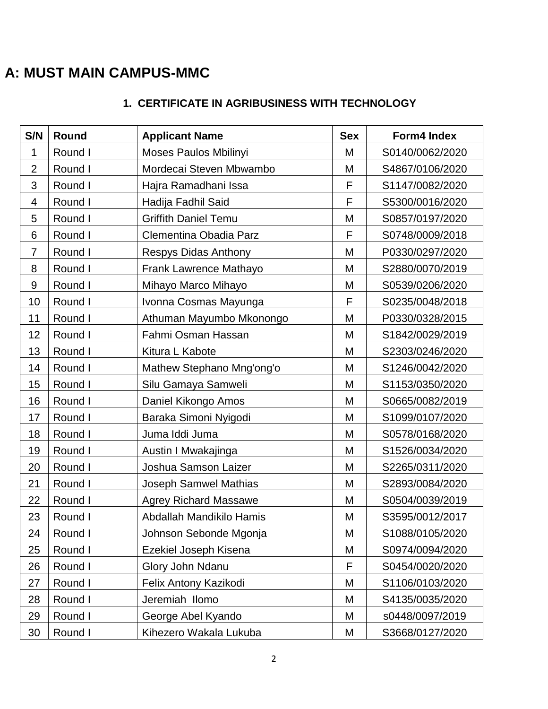# **A: MUST MAIN CAMPUS-MMC**

# **1. CERTIFICATE IN AGRIBUSINESS WITH TECHNOLOGY**

| S/N            | Round   | <b>Applicant Name</b>        | <b>Sex</b> | Form4 Index     |
|----------------|---------|------------------------------|------------|-----------------|
| 1              | Round I | Moses Paulos Mbilinyi        | M          | S0140/0062/2020 |
| $\overline{2}$ | Round I | Mordecai Steven Mbwambo      | M          | S4867/0106/2020 |
| 3              | Round I | Hajra Ramadhani Issa         | F          | S1147/0082/2020 |
| 4              | Round I | Hadija Fadhil Said           | F          | S5300/0016/2020 |
| 5              | Round I | <b>Griffith Daniel Temu</b>  | M          | S0857/0197/2020 |
| 6              | Round I | Clementina Obadia Parz       | F          | S0748/0009/2018 |
| $\overline{7}$ | Round I | <b>Respys Didas Anthony</b>  | M          | P0330/0297/2020 |
| 8              | Round I | Frank Lawrence Mathayo       | M          | S2880/0070/2019 |
| 9              | Round I | Mihayo Marco Mihayo          | M          | S0539/0206/2020 |
| 10             | Round I | Ivonna Cosmas Mayunga        | F          | S0235/0048/2018 |
| 11             | Round I | Athuman Mayumbo Mkonongo     | M          | P0330/0328/2015 |
| 12             | Round I | Fahmi Osman Hassan           | M          | S1842/0029/2019 |
| 13             | Round I | Kitura L Kabote              | M          | S2303/0246/2020 |
| 14             | Round I | Mathew Stephano Mng'ong'o    | M          | S1246/0042/2020 |
| 15             | Round I | Silu Gamaya Samweli          | M          | S1153/0350/2020 |
| 16             | Round I | Daniel Kikongo Amos          | M          | S0665/0082/2019 |
| 17             | Round I | Baraka Simoni Nyigodi        | M          | S1099/0107/2020 |
| 18             | Round I | Juma Iddi Juma               | M          | S0578/0168/2020 |
| 19             | Round I | Austin I Mwakajinga          | M          | S1526/0034/2020 |
| 20             | Round I | Joshua Samson Laizer         | M          | S2265/0311/2020 |
| 21             | Round I | Joseph Samwel Mathias        | M          | S2893/0084/2020 |
| 22             | Round I | <b>Agrey Richard Massawe</b> | M          | S0504/0039/2019 |
| 23             | Round I | Abdallah Mandikilo Hamis     | M          | S3595/0012/2017 |
| 24             | Round I | Johnson Sebonde Mgonja       | M          | S1088/0105/2020 |
| 25             | Round I | Ezekiel Joseph Kisena        | M          | S0974/0094/2020 |
| 26             | Round I | Glory John Ndanu             | F          | S0454/0020/2020 |
| 27             | Round I | Felix Antony Kazikodi        | M          | S1106/0103/2020 |
| 28             | Round I | Jeremiah Ilomo               | M          | S4135/0035/2020 |
| 29             | Round I | George Abel Kyando           | M          | s0448/0097/2019 |
| 30             | Round I | Kihezero Wakala Lukuba       | M          | S3668/0127/2020 |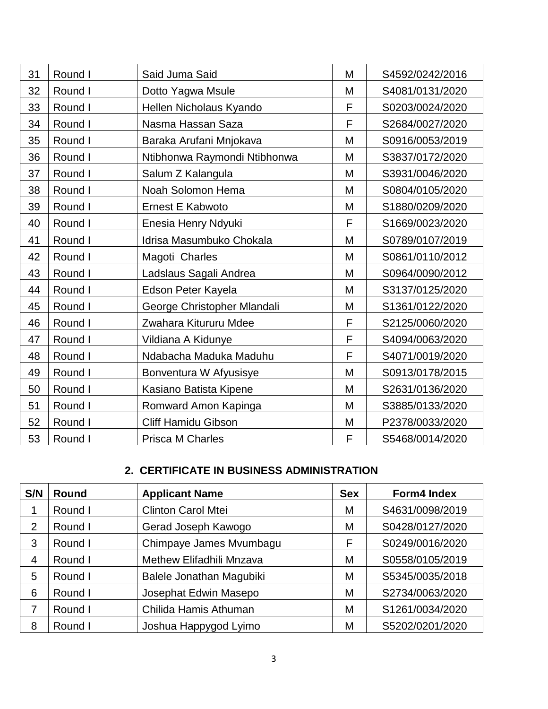| 31 | Round I | Said Juma Said               | M | S4592/0242/2016 |
|----|---------|------------------------------|---|-----------------|
| 32 | Round I | Dotto Yagwa Msule            | M | S4081/0131/2020 |
| 33 | Round I | Hellen Nicholaus Kyando      | F | S0203/0024/2020 |
| 34 | Round I | Nasma Hassan Saza            | F | S2684/0027/2020 |
| 35 | Round I | Baraka Arufani Mnjokava      | M | S0916/0053/2019 |
| 36 | Round I | Ntibhonwa Raymondi Ntibhonwa | M | S3837/0172/2020 |
| 37 | Round I | Salum Z Kalangula            | M | S3931/0046/2020 |
| 38 | Round I | Noah Solomon Hema            | M | S0804/0105/2020 |
| 39 | Round I | <b>Ernest E Kabwoto</b>      | M | S1880/0209/2020 |
| 40 | Round I | Enesia Henry Ndyuki          | F | S1669/0023/2020 |
| 41 | Round I | Idrisa Masumbuko Chokala     | M | S0789/0107/2019 |
| 42 | Round I | Magoti Charles               | M | S0861/0110/2012 |
| 43 | Round I | Ladslaus Sagali Andrea       | M | S0964/0090/2012 |
| 44 | Round I | Edson Peter Kayela           | M | S3137/0125/2020 |
| 45 | Round I | George Christopher Mlandali  | M | S1361/0122/2020 |
| 46 | Round I | Zwahara Kitururu Mdee        | F | S2125/0060/2020 |
| 47 | Round I | Vildiana A Kidunye           | F | S4094/0063/2020 |
| 48 | Round I | Ndabacha Maduka Maduhu       | F | S4071/0019/2020 |
| 49 | Round I | Bonventura W Afyusisye       | M | S0913/0178/2015 |
| 50 | Round I | Kasiano Batista Kipene       | M | S2631/0136/2020 |
| 51 | Round I | Romward Amon Kapinga         | M | S3885/0133/2020 |
| 52 | Round I | <b>Cliff Hamidu Gibson</b>   | M | P2378/0033/2020 |
| 53 | Round I | Prisca M Charles             | F | S5468/0014/2020 |

# **2. CERTIFICATE IN BUSINESS ADMINISTRATION**

| S/N            | Round   | <b>Applicant Name</b>     | <b>Sex</b> | Form4 Index     |
|----------------|---------|---------------------------|------------|-----------------|
|                | Round I | <b>Clinton Carol Mtei</b> | M          | S4631/0098/2019 |
| $\overline{2}$ | Round I | Gerad Joseph Kawogo       | M          | S0428/0127/2020 |
| 3              | Round I | Chimpaye James Mvumbagu   | F          | S0249/0016/2020 |
| 4              | Round I | Methew Elifadhili Mnzava  | M          | S0558/0105/2019 |
| 5              | Round I | Balele Jonathan Magubiki  | M          | S5345/0035/2018 |
| 6              | Round I | Josephat Edwin Masepo     | M          | S2734/0063/2020 |
| 7              | Round I | Chilida Hamis Athuman     | M          | S1261/0034/2020 |
| 8              | Round I | Joshua Happygod Lyimo     | М          | S5202/0201/2020 |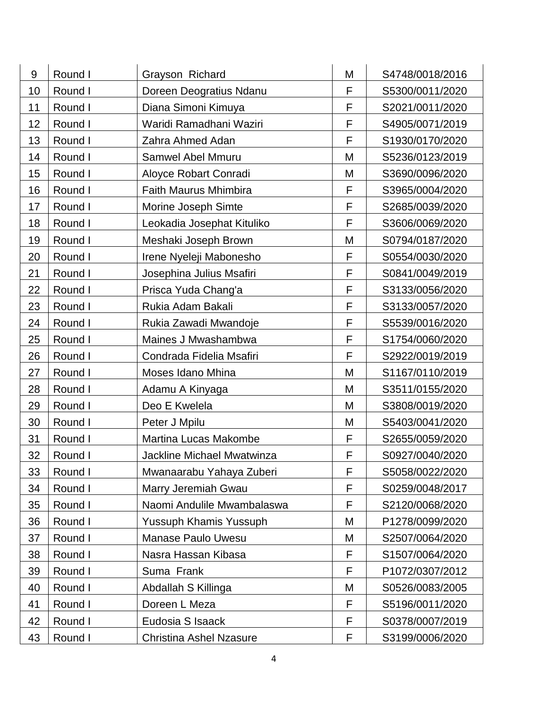| 9  | Round I | Grayson Richard                | M | S4748/0018/2016 |
|----|---------|--------------------------------|---|-----------------|
| 10 | Round I | Doreen Deogratius Ndanu        | F | S5300/0011/2020 |
| 11 | Round I | Diana Simoni Kimuya            | F | S2021/0011/2020 |
| 12 | Round I | Waridi Ramadhani Waziri        | F | S4905/0071/2019 |
| 13 | Round I | Zahra Ahmed Adan               | F | S1930/0170/2020 |
| 14 | Round I | <b>Samwel Abel Mmuru</b>       | M | S5236/0123/2019 |
| 15 | Round I | Aloyce Robart Conradi          | M | S3690/0096/2020 |
| 16 | Round I | <b>Faith Maurus Mhimbira</b>   | F | S3965/0004/2020 |
| 17 | Round I | Morine Joseph Simte            | F | S2685/0039/2020 |
| 18 | Round I | Leokadia Josephat Kituliko     | F | S3606/0069/2020 |
| 19 | Round I | Meshaki Joseph Brown           | M | S0794/0187/2020 |
| 20 | Round I | Irene Nyeleji Mabonesho        | F | S0554/0030/2020 |
| 21 | Round I | Josephina Julius Msafiri       | F | S0841/0049/2019 |
| 22 | Round I | Prisca Yuda Chang'a            | F | S3133/0056/2020 |
| 23 | Round I | Rukia Adam Bakali              | F | S3133/0057/2020 |
| 24 | Round I | Rukia Zawadi Mwandoje          | F | S5539/0016/2020 |
| 25 | Round I | Maines J Mwashambwa            | F | S1754/0060/2020 |
| 26 | Round I | Condrada Fidelia Msafiri       | F | S2922/0019/2019 |
| 27 | Round I | Moses Idano Mhina              | M | S1167/0110/2019 |
| 28 | Round I | Adamu A Kinyaga                | M | S3511/0155/2020 |
| 29 | Round I | Deo E Kwelela                  | M | S3808/0019/2020 |
| 30 | Round I | Peter J Mpilu                  | M | S5403/0041/2020 |
| 31 | Round I | <b>Martina Lucas Makombe</b>   | F | S2655/0059/2020 |
| 32 | Round I | Jackline Michael Mwatwinza     | F | S0927/0040/2020 |
| 33 | Round I | Mwanaarabu Yahaya Zuberi       | F | S5058/0022/2020 |
| 34 | Round I | Marry Jeremiah Gwau            | F | S0259/0048/2017 |
| 35 | Round I | Naomi Andulile Mwambalaswa     | F | S2120/0068/2020 |
| 36 | Round I | Yussuph Khamis Yussuph         | Μ | P1278/0099/2020 |
| 37 | Round I | <b>Manase Paulo Uwesu</b>      | M | S2507/0064/2020 |
| 38 | Round I | Nasra Hassan Kibasa            | F | S1507/0064/2020 |
| 39 | Round I | Suma Frank                     | F | P1072/0307/2012 |
| 40 | Round I | Abdallah S Killinga            | M | S0526/0083/2005 |
| 41 | Round I | Doreen L Meza                  | F | S5196/0011/2020 |
| 42 | Round I | Eudosia S Isaack               | F | S0378/0007/2019 |
| 43 | Round I | <b>Christina Ashel Nzasure</b> | F | S3199/0006/2020 |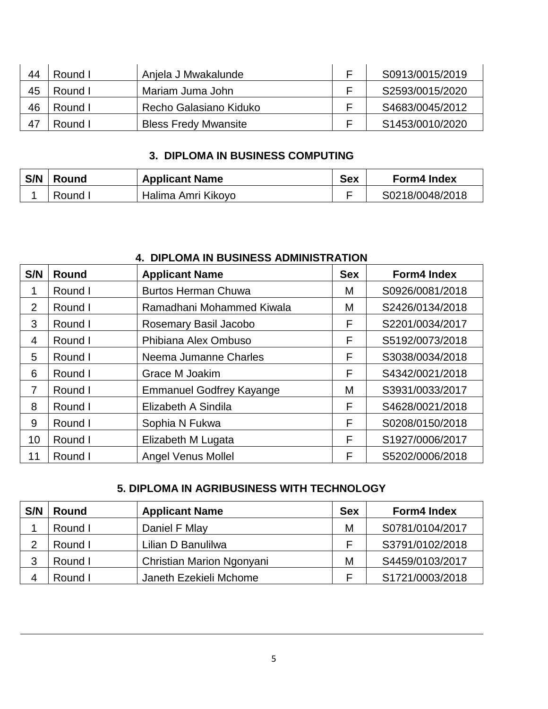| 44 | Round I | Anjela J Mwakalunde         | S0913/0015/2019 |
|----|---------|-----------------------------|-----------------|
| 45 | Round I | Mariam Juma John            | S2593/0015/2020 |
| 46 | Round I | Recho Galasiano Kiduko      | S4683/0045/2012 |
|    | Round I | <b>Bless Fredy Mwansite</b> | S1453/0010/2020 |

## **3. DIPLOMA IN BUSINESS COMPUTING**

| S/N | Round   | <b>Applicant Name</b> | <b>Sex</b> | <b>Form4 Index</b> |
|-----|---------|-----------------------|------------|--------------------|
|     | Round L | Halima Amri Kikoyo    |            | S0218/0048/2018    |

|                 | T. DII LUMA IN DUUNLUU ADMINIUTIVATIUN |                                 |            |                    |  |  |
|-----------------|----------------------------------------|---------------------------------|------------|--------------------|--|--|
| S/N             | <b>Round</b>                           | <b>Applicant Name</b>           | <b>Sex</b> | <b>Form4 Index</b> |  |  |
|                 | Round I                                | <b>Burtos Herman Chuwa</b>      | M          | S0926/0081/2018    |  |  |
| $\overline{2}$  | Round I                                | Ramadhani Mohammed Kiwala       | M          | S2426/0134/2018    |  |  |
| 3               | Round I                                | Rosemary Basil Jacobo           | F          | S2201/0034/2017    |  |  |
| $\overline{4}$  | Round I                                | Phibiana Alex Ombuso            | F          | S5192/0073/2018    |  |  |
| 5               | Round I                                | Neema Jumanne Charles           | F          | S3038/0034/2018    |  |  |
| 6               | Round I                                | Grace M Joakim                  | F          | S4342/0021/2018    |  |  |
| 7               | Round I                                | <b>Emmanuel Godfrey Kayange</b> | M          | S3931/0033/2017    |  |  |
| 8               | Round I                                | Elizabeth A Sindila             | F          | S4628/0021/2018    |  |  |
| 9               | Round I                                | Sophia N Fukwa                  | F          | S0208/0150/2018    |  |  |
| 10 <sup>°</sup> | Round I                                | Elizabeth M Lugata              | F          | S1927/0006/2017    |  |  |
| 11              | Round I                                | <b>Angel Venus Mollel</b>       | F          | S5202/0006/2018    |  |  |

## **4. DIPLOMA IN BUSINESS ADMINISTRATION**

## **5. DIPLOMA IN AGRIBUSINESS WITH TECHNOLOGY**

| S/N | <b>Round</b> | <b>Applicant Name</b>     | <b>Sex</b> | <b>Form4 Index</b> |
|-----|--------------|---------------------------|------------|--------------------|
|     | Round I      | Daniel F Mlay             | M          | S0781/0104/2017    |
| ⌒   | Round I      | Lilian D Banulilwa        |            | S3791/0102/2018    |
| 3   | Round I      | Christian Marion Ngonyani | M          | S4459/0103/2017    |
|     | Round I      | Janeth Ezekieli Mchome    |            | S1721/0003/2018    |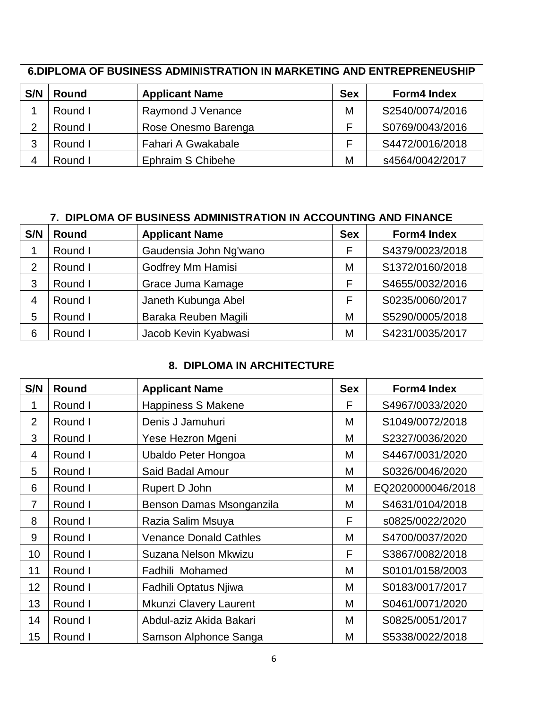| S/N | <b>Round</b> | <b>Applicant Name</b> | <b>Sex</b> | <b>Form4 Index</b> |
|-----|--------------|-----------------------|------------|--------------------|
|     | Round I      | Raymond J Venance     | M          | S2540/0074/2016    |
|     | Round I      | Rose Onesmo Barenga   |            | S0769/0043/2016    |
| 3   | Round I      | Fahari A Gwakabale    |            | S4472/0016/2018    |
|     | Round I      | Ephraim S Chibehe     | М          | s4564/0042/2017    |

# **6.DIPLOMA OF BUSINESS ADMINISTRATION IN MARKETING AND ENTREPRENEUSHIP**

## **7. DIPLOMA OF BUSINESS ADMINISTRATION IN ACCOUNTING AND FINANCE**

| S/N | <b>Round</b> | <b>Applicant Name</b>    | <b>Sex</b> | <b>Form4 Index</b> |
|-----|--------------|--------------------------|------------|--------------------|
|     | Round I      | Gaudensia John Ng'wano   |            | S4379/0023/2018    |
| 2   | Round I      | <b>Godfrey Mm Hamisi</b> | M          | S1372/0160/2018    |
| 3   | Round I      | Grace Juma Kamage        |            | S4655/0032/2016    |
| 4   | Round I      | Janeth Kubunga Abel      |            | S0235/0060/2017    |
| 5   | Round I      | Baraka Reuben Magili     | М          | S5290/0005/2018    |
| 6   | Round I      | Jacob Kevin Kyabwasi     | М          | S4231/0035/2017    |

# **8. DIPLOMA IN ARCHITECTURE**

| S/N            | Round   | <b>Applicant Name</b>         | <b>Sex</b> | <b>Form4 Index</b> |
|----------------|---------|-------------------------------|------------|--------------------|
| 1              | Round I | <b>Happiness S Makene</b>     | F          | S4967/0033/2020    |
| $\overline{2}$ | Round I | Denis J Jamuhuri              | M          | S1049/0072/2018    |
| 3              | Round I | Yese Hezron Mgeni             | M          | S2327/0036/2020    |
| 4              | Round I | Ubaldo Peter Hongoa           | M          | S4467/0031/2020    |
| 5              | Round I | Said Badal Amour              | M          | S0326/0046/2020    |
| 6              | Round I | Rupert D John                 | M          | EQ2020000046/2018  |
| 7              | Round I | Benson Damas Msonganzila      | M          | S4631/0104/2018    |
| 8              | Round I | Razia Salim Msuya             | F          | s0825/0022/2020    |
| 9              | Round I | <b>Venance Donald Cathles</b> | M          | S4700/0037/2020    |
| 10             | Round I | Suzana Nelson Mkwizu          | F          | S3867/0082/2018    |
| 11             | Round I | Fadhili Mohamed               | M          | S0101/0158/2003    |
| 12             | Round I | Fadhili Optatus Njiwa         | M          | S0183/0017/2017    |
| 13             | Round I | Mkunzi Clavery Laurent        | M          | S0461/0071/2020    |
| 14             | Round I | Abdul-aziz Akida Bakari       | M          | S0825/0051/2017    |
| 15             | Round I | Samson Alphonce Sanga         | M          | S5338/0022/2018    |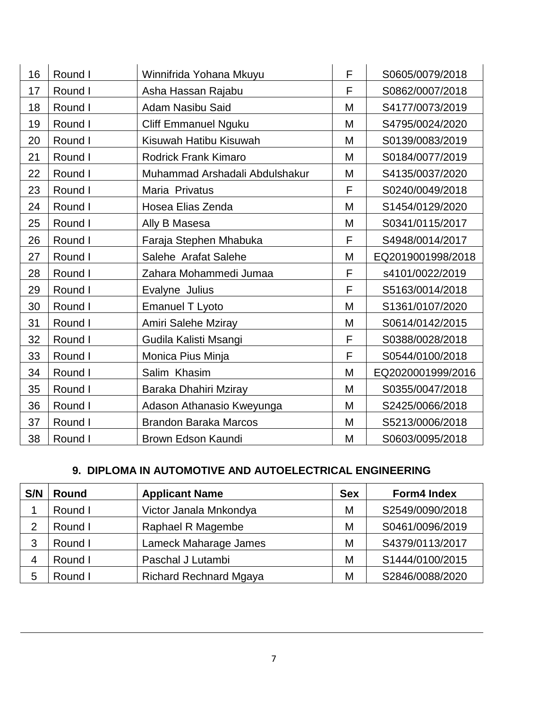| 16 | Round I | Winnifrida Yohana Mkuyu        | F | S0605/0079/2018   |
|----|---------|--------------------------------|---|-------------------|
| 17 | Round I | Asha Hassan Rajabu             | F | S0862/0007/2018   |
| 18 | Round I | <b>Adam Nasibu Said</b>        | M | S4177/0073/2019   |
| 19 | Round I | <b>Cliff Emmanuel Nguku</b>    | M | S4795/0024/2020   |
| 20 | Round I | Kisuwah Hatibu Kisuwah         | M | S0139/0083/2019   |
| 21 | Round I | <b>Rodrick Frank Kimaro</b>    | M | S0184/0077/2019   |
| 22 | Round I | Muhammad Arshadali Abdulshakur | M | S4135/0037/2020   |
| 23 | Round I | Maria Privatus                 | F | S0240/0049/2018   |
| 24 | Round I | Hosea Elias Zenda              | M | S1454/0129/2020   |
| 25 | Round I | Ally B Masesa                  | M | S0341/0115/2017   |
| 26 | Round I | Faraja Stephen Mhabuka         | F | S4948/0014/2017   |
| 27 | Round I | Salehe Arafat Salehe           | M | EQ2019001998/2018 |
| 28 | Round I | Zahara Mohammedi Jumaa         | F | s4101/0022/2019   |
| 29 | Round I | Evalyne Julius                 | F | S5163/0014/2018   |
| 30 | Round I | <b>Emanuel T Lyoto</b>         | M | S1361/0107/2020   |
| 31 | Round I | Amiri Salehe Mziray            | M | S0614/0142/2015   |
| 32 | Round I | Gudila Kalisti Msangi          | F | S0388/0028/2018   |
| 33 | Round I | Monica Pius Minja              | F | S0544/0100/2018   |
| 34 | Round I | Salim Khasim                   | M | EQ2020001999/2016 |
| 35 | Round I | Baraka Dhahiri Mziray          | M | S0355/0047/2018   |
| 36 | Round I | Adason Athanasio Kweyunga      | M | S2425/0066/2018   |
| 37 | Round I | <b>Brandon Baraka Marcos</b>   | M | S5213/0006/2018   |
| 38 | Round I | Brown Edson Kaundi             | M | S0603/0095/2018   |

# **9. DIPLOMA IN AUTOMOTIVE AND AUTOELECTRICAL ENGINEERING**

| S/N | Round   | <b>Applicant Name</b>         | <b>Sex</b> | <b>Form4 Index</b> |
|-----|---------|-------------------------------|------------|--------------------|
|     | Round I | Victor Janala Mnkondya        | M          | S2549/0090/2018    |
| っ   | Round I | Raphael R Magembe             | M          | S0461/0096/2019    |
| 3   | Round I | Lameck Maharage James         | M          | S4379/0113/2017    |
|     | Round I | Paschal J Lutambi             | M          | S1444/0100/2015    |
| 5   | Round I | <b>Richard Rechnard Mgaya</b> | M          | S2846/0088/2020    |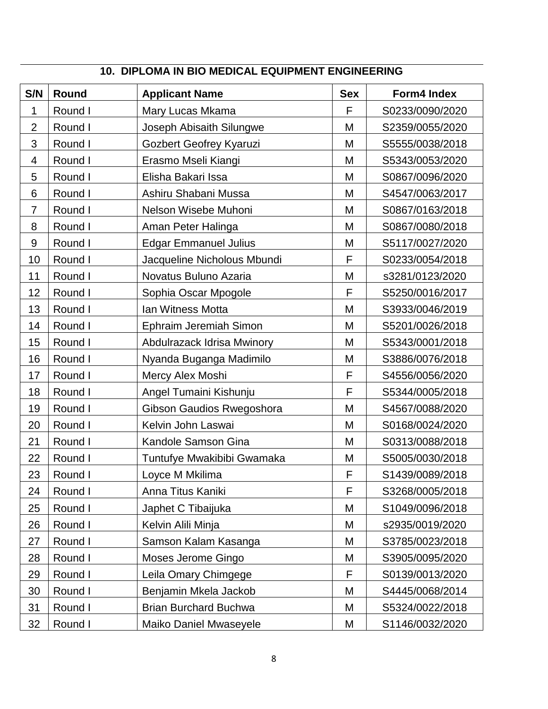| S/N              | Round   | <b>Applicant Name</b>        | <b>Sex</b> | Form4 Index     |
|------------------|---------|------------------------------|------------|-----------------|
| 1                | Round I | Mary Lucas Mkama             | F          | S0233/0090/2020 |
| $\overline{2}$   | Round I | Joseph Abisaith Silungwe     | M          | S2359/0055/2020 |
| 3                | Round I | Gozbert Geofrey Kyaruzi      | M          | S5555/0038/2018 |
| 4                | Round I | Erasmo Mseli Kiangi          | M          | S5343/0053/2020 |
| 5                | Round I | Elisha Bakari Issa           | M          | S0867/0096/2020 |
| 6                | Round I | Ashiru Shabani Mussa         | M          | S4547/0063/2017 |
| 7                | Round I | Nelson Wisebe Muhoni         | M          | S0867/0163/2018 |
| 8                | Round I | Aman Peter Halinga           | M          | S0867/0080/2018 |
| $\boldsymbol{9}$ | Round I | <b>Edgar Emmanuel Julius</b> | M          | S5117/0027/2020 |
| 10               | Round I | Jacqueline Nicholous Mbundi  | F          | S0233/0054/2018 |
| 11               | Round I | Novatus Buluno Azaria        | M          | s3281/0123/2020 |
| 12               | Round I | Sophia Oscar Mpogole         | F          | S5250/0016/2017 |
| 13               | Round I | Ian Witness Motta            | M          | S3933/0046/2019 |
| 14               | Round I | Ephraim Jeremiah Simon       | M          | S5201/0026/2018 |
| 15               | Round I | Abdulrazack Idrisa Mwinory   | M          | S5343/0001/2018 |
| 16               | Round I | Nyanda Buganga Madimilo      | M          | S3886/0076/2018 |
| 17               | Round I | Mercy Alex Moshi             | F          | S4556/0056/2020 |
| 18               | Round I | Angel Tumaini Kishunju       | F          | S5344/0005/2018 |
| 19               | Round I | Gibson Gaudios Rwegoshora    | M          | S4567/0088/2020 |
| 20               | Round I | Kelvin John Laswai           | M          | S0168/0024/2020 |
| 21               | Round I | Kandole Samson Gina          | M          | S0313/0088/2018 |
| 22               | Round I | Tuntufye Mwakibibi Gwamaka   | M          | S5005/0030/2018 |
| 23               | Round I | Loyce M Mkilima              | F          | S1439/0089/2018 |
| 24               | Round I | Anna Titus Kaniki            | F          | S3268/0005/2018 |
| 25               | Round I | Japhet C Tibaijuka           | M          | S1049/0096/2018 |
| 26               | Round I | Kelvin Alili Minja           | M          | s2935/0019/2020 |
| 27               | Round I | Samson Kalam Kasanga         | M          | S3785/0023/2018 |
| 28               | Round I | Moses Jerome Gingo           | M          | S3905/0095/2020 |
| 29               | Round I | Leila Omary Chimgege         | F          | S0139/0013/2020 |
| 30               | Round I | Benjamin Mkela Jackob        | M          | S4445/0068/2014 |
| 31               | Round I | <b>Brian Burchard Buchwa</b> | M          | S5324/0022/2018 |
| 32               | Round I | Maiko Daniel Mwaseyele       | M          | S1146/0032/2020 |

# **10. DIPLOMA IN BIO MEDICAL EQUIPMENT ENGINEERING**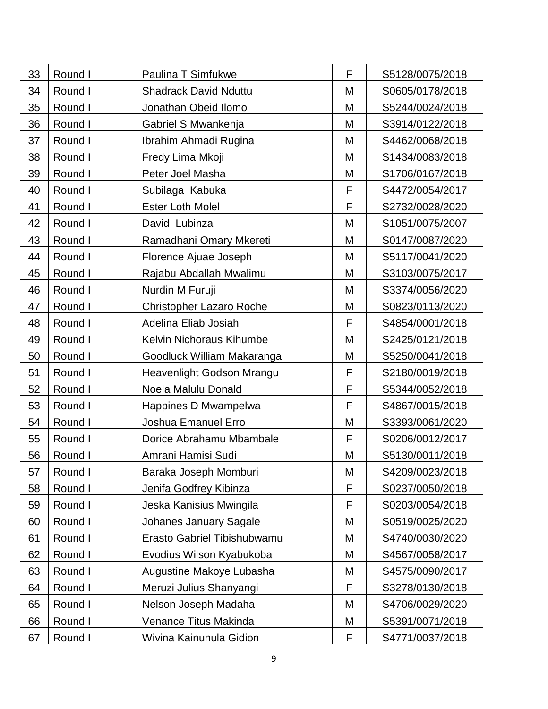| 33 | Round I | <b>Paulina T Simfukwe</b>       | F | S5128/0075/2018 |
|----|---------|---------------------------------|---|-----------------|
| 34 | Round I | <b>Shadrack David Nduttu</b>    | M | S0605/0178/2018 |
| 35 | Round I | Jonathan Obeid Ilomo            | M | S5244/0024/2018 |
| 36 | Round I | Gabriel S Mwankenja             | M | S3914/0122/2018 |
| 37 | Round I | Ibrahim Ahmadi Rugina           | M | S4462/0068/2018 |
| 38 | Round I | Fredy Lima Mkoji                | M | S1434/0083/2018 |
| 39 | Round I | Peter Joel Masha                | M | S1706/0167/2018 |
| 40 | Round I | Subilaga Kabuka                 | F | S4472/0054/2017 |
| 41 | Round I | <b>Ester Loth Molel</b>         | F | S2732/0028/2020 |
| 42 | Round I | David Lubinza                   | M | S1051/0075/2007 |
| 43 | Round I | Ramadhani Omary Mkereti         | M | S0147/0087/2020 |
| 44 | Round I | Florence Ajuae Joseph           | M | S5117/0041/2020 |
| 45 | Round I | Rajabu Abdallah Mwalimu         | M | S3103/0075/2017 |
| 46 | Round I | Nurdin M Furuji                 | M | S3374/0056/2020 |
| 47 | Round I | <b>Christopher Lazaro Roche</b> | M | S0823/0113/2020 |
| 48 | Round I | Adelina Eliab Josiah            | F | S4854/0001/2018 |
| 49 | Round I | Kelvin Nichoraus Kihumbe        | M | S2425/0121/2018 |
| 50 | Round I | Goodluck William Makaranga      | M | S5250/0041/2018 |
| 51 | Round I | Heavenlight Godson Mrangu       | F | S2180/0019/2018 |
| 52 | Round I | Noela Malulu Donald             | F | S5344/0052/2018 |
| 53 | Round I | Happines D Mwampelwa            | F | S4867/0015/2018 |
| 54 | Round I | Joshua Emanuel Erro             | M | S3393/0061/2020 |
| 55 | Round I | Dorice Abrahamu Mbambale        | F | S0206/0012/2017 |
| 56 | Round I | Amrani Hamisi Sudi              | M | S5130/0011/2018 |
| 57 | Round I | Baraka Joseph Momburi           | M | S4209/0023/2018 |
| 58 | Round I | Jenifa Godfrey Kibinza          | F | S0237/0050/2018 |
| 59 | Round I | Jeska Kanisius Mwingila         | F | S0203/0054/2018 |
| 60 | Round I | <b>Johanes January Sagale</b>   | M | S0519/0025/2020 |
| 61 | Round I | Erasto Gabriel Tibishubwamu     | M | S4740/0030/2020 |
| 62 | Round I | Evodius Wilson Kyabukoba        | M | S4567/0058/2017 |
| 63 | Round I | Augustine Makoye Lubasha        | M | S4575/0090/2017 |
| 64 | Round I | Meruzi Julius Shanyangi         | F | S3278/0130/2018 |
| 65 | Round I | Nelson Joseph Madaha            | M | S4706/0029/2020 |
| 66 | Round I | Venance Titus Makinda           | M | S5391/0071/2018 |
| 67 | Round I | Wivina Kainunula Gidion         | F | S4771/0037/2018 |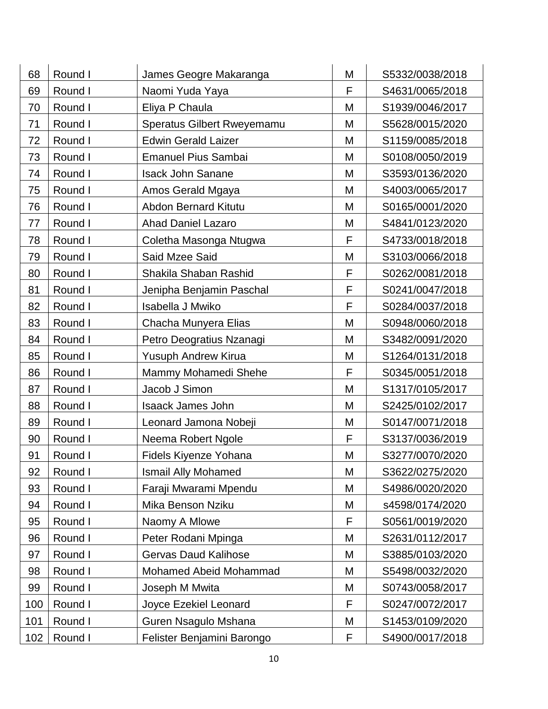| 68  | Round I | James Geogre Makaranga      | M | S5332/0038/2018 |
|-----|---------|-----------------------------|---|-----------------|
| 69  | Round I | Naomi Yuda Yaya             | F | S4631/0065/2018 |
| 70  | Round I | Eliya P Chaula              | M | S1939/0046/2017 |
| 71  | Round I | Speratus Gilbert Rweyemamu  | M | S5628/0015/2020 |
| 72  | Round I | <b>Edwin Gerald Laizer</b>  | M | S1159/0085/2018 |
| 73  | Round I | <b>Emanuel Pius Sambai</b>  | M | S0108/0050/2019 |
| 74  | Round I | <b>Isack John Sanane</b>    | M | S3593/0136/2020 |
| 75  | Round I | Amos Gerald Mgaya           | M | S4003/0065/2017 |
| 76  | Round I | <b>Abdon Bernard Kitutu</b> | M | S0165/0001/2020 |
| 77  | Round I | <b>Ahad Daniel Lazaro</b>   | Μ | S4841/0123/2020 |
| 78  | Round I | Coletha Masonga Ntugwa      | F | S4733/0018/2018 |
| 79  | Round I | Said Mzee Said              | M | S3103/0066/2018 |
| 80  | Round I | Shakila Shaban Rashid       | F | S0262/0081/2018 |
| 81  | Round I | Jenipha Benjamin Paschal    | F | S0241/0047/2018 |
| 82  | Round I | Isabella J Mwiko            | F | S0284/0037/2018 |
| 83  | Round I | Chacha Munyera Elias        | M | S0948/0060/2018 |
| 84  | Round I | Petro Deogratius Nzanagi    | M | S3482/0091/2020 |
| 85  | Round I | Yusuph Andrew Kirua         | M | S1264/0131/2018 |
| 86  | Round I | Mammy Mohamedi Shehe        | F | S0345/0051/2018 |
| 87  | Round I | Jacob J Simon               | M | S1317/0105/2017 |
| 88  | Round I | <b>Isaack James John</b>    | M | S2425/0102/2017 |
| 89  | Round I | Leonard Jamona Nobeji       | M | S0147/0071/2018 |
| 90  | Round I | Neema Robert Ngole          | F | S3137/0036/2019 |
| 91  | Round I | Fidels Kiyenze Yohana       | M | S3277/0070/2020 |
| 92  | Round I | <b>Ismail Ally Mohamed</b>  | M | S3622/0275/2020 |
| 93  | Round I | Faraji Mwarami Mpendu       | M | S4986/0020/2020 |
| 94  | Round I | Mika Benson Nziku           | M | s4598/0174/2020 |
| 95  | Round I | Naomy A Mlowe               | F | S0561/0019/2020 |
| 96  | Round I | Peter Rodani Mpinga         | M | S2631/0112/2017 |
| 97  | Round I | <b>Gervas Daud Kalihose</b> | M | S3885/0103/2020 |
| 98  | Round I | Mohamed Abeid Mohammad      | M | S5498/0032/2020 |
| 99  | Round I | Joseph M Mwita              | M | S0743/0058/2017 |
| 100 | Round I | Joyce Ezekiel Leonard       | F | S0247/0072/2017 |
| 101 | Round I | Guren Nsagulo Mshana        | Μ | S1453/0109/2020 |
| 102 | Round I | Felister Benjamini Barongo  | F | S4900/0017/2018 |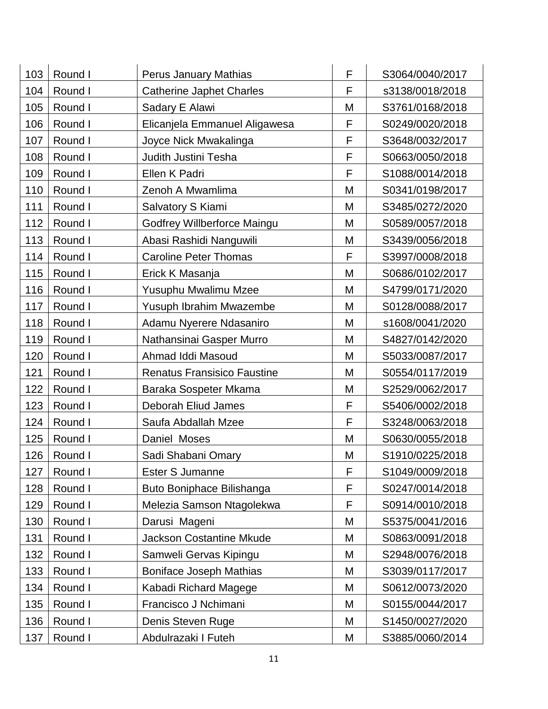| 103 | Round I | <b>Perus January Mathias</b>       | F | S3064/0040/2017 |
|-----|---------|------------------------------------|---|-----------------|
| 104 | Round I | <b>Catherine Japhet Charles</b>    | F | s3138/0018/2018 |
| 105 | Round I | Sadary E Alawi                     | M | S3761/0168/2018 |
| 106 | Round I | Elicanjela Emmanuel Aligawesa      | F | S0249/0020/2018 |
| 107 | Round I | Joyce Nick Mwakalinga              | F | S3648/0032/2017 |
| 108 | Round I | Judith Justini Tesha               | F | S0663/0050/2018 |
| 109 | Round I | Ellen K Padri                      | F | S1088/0014/2018 |
| 110 | Round I | Zenoh A Mwamlima                   | M | S0341/0198/2017 |
| 111 | Round I | Salvatory S Kiami                  | M | S3485/0272/2020 |
| 112 | Round I | Godfrey Willberforce Maingu        | M | S0589/0057/2018 |
| 113 | Round I | Abasi Rashidi Nanguwili            | M | S3439/0056/2018 |
| 114 | Round I | <b>Caroline Peter Thomas</b>       | F | S3997/0008/2018 |
| 115 | Round I | Erick K Masanja                    | M | S0686/0102/2017 |
| 116 | Round I | Yusuphu Mwalimu Mzee               | M | S4799/0171/2020 |
| 117 | Round I | Yusuph Ibrahim Mwazembe            | M | S0128/0088/2017 |
| 118 | Round I | Adamu Nyerere Ndasaniro            | M | s1608/0041/2020 |
| 119 | Round I | Nathansinai Gasper Murro           | M | S4827/0142/2020 |
| 120 | Round I | Ahmad Iddi Masoud                  | M | S5033/0087/2017 |
| 121 | Round I | <b>Renatus Fransisico Faustine</b> | M | S0554/0117/2019 |
| 122 | Round I | Baraka Sospeter Mkama              | M | S2529/0062/2017 |
| 123 | Round I | Deborah Eliud James                | F | S5406/0002/2018 |
| 124 | Round I | Saufa Abdallah Mzee                | F | S3248/0063/2018 |
| 125 | Round I | Daniel Moses                       | M | S0630/0055/2018 |
| 126 | Round I | Sadi Shabani Omary                 | M | S1910/0225/2018 |
| 127 | Round I | Ester S Jumanne                    | F | S1049/0009/2018 |
| 128 | Round I | Buto Boniphace Bilishanga          | F | S0247/0014/2018 |
| 129 | Round I | Melezia Samson Ntagolekwa          | F | S0914/0010/2018 |
| 130 | Round I | Darusi Mageni                      | M | S5375/0041/2016 |
| 131 | Round I | <b>Jackson Costantine Mkude</b>    | M | S0863/0091/2018 |
| 132 | Round I | Samweli Gervas Kipingu             | M | S2948/0076/2018 |
| 133 | Round I | <b>Boniface Joseph Mathias</b>     | M | S3039/0117/2017 |
| 134 | Round I | Kabadi Richard Magege              | M | S0612/0073/2020 |
| 135 | Round I | Francisco J Nchimani               | M | S0155/0044/2017 |
| 136 | Round I | Denis Steven Ruge                  | Μ | S1450/0027/2020 |
|     |         |                                    |   |                 |
| 137 | Round I | Abdulrazaki I Futeh                | М | S3885/0060/2014 |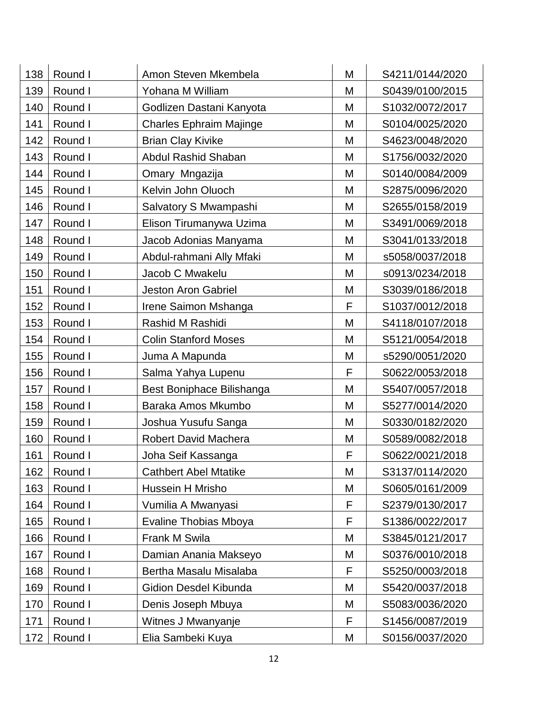| 138 | Round I | Amon Steven Mkembela           | M | S4211/0144/2020 |
|-----|---------|--------------------------------|---|-----------------|
| 139 | Round I | Yohana M William               | M | S0439/0100/2015 |
| 140 | Round I | Godlizen Dastani Kanyota       | M | S1032/0072/2017 |
| 141 | Round I | <b>Charles Ephraim Majinge</b> | M | S0104/0025/2020 |
| 142 | Round I | <b>Brian Clay Kivike</b>       | M | S4623/0048/2020 |
| 143 | Round I | <b>Abdul Rashid Shaban</b>     | M | S1756/0032/2020 |
| 144 | Round I | Omary Mngazija                 | M | S0140/0084/2009 |
| 145 | Round I | Kelvin John Oluoch             | M | S2875/0096/2020 |
| 146 | Round I | Salvatory S Mwampashi          | M | S2655/0158/2019 |
| 147 | Round I | Elison Tirumanywa Uzima        | Μ | S3491/0069/2018 |
| 148 | Round I | Jacob Adonias Manyama          | M | S3041/0133/2018 |
| 149 | Round I | Abdul-rahmani Ally Mfaki       | M | s5058/0037/2018 |
| 150 | Round I | Jacob C Mwakelu                | M | s0913/0234/2018 |
| 151 | Round I | <b>Jeston Aron Gabriel</b>     | M | S3039/0186/2018 |
| 152 | Round I | Irene Saimon Mshanga           | F | S1037/0012/2018 |
| 153 | Round I | Rashid M Rashidi               | M | S4118/0107/2018 |
| 154 | Round I | <b>Colin Stanford Moses</b>    | M | S5121/0054/2018 |
| 155 | Round I | Juma A Mapunda                 | M | s5290/0051/2020 |
| 156 | Round I | Salma Yahya Lupenu             | F | S0622/0053/2018 |
| 157 | Round I | Best Boniphace Bilishanga      | M | S5407/0057/2018 |
| 158 | Round I | Baraka Amos Mkumbo             | M | S5277/0014/2020 |
| 159 | Round I | Joshua Yusufu Sanga            | M | S0330/0182/2020 |
| 160 | Round I | <b>Robert David Machera</b>    | M | S0589/0082/2018 |
| 161 | Round I | Joha Seif Kassanga             | F | S0622/0021/2018 |
| 162 | Round I | <b>Cathbert Abel Mtatike</b>   | M | S3137/0114/2020 |
| 163 | Round I | Hussein H Mrisho               | M | S0605/0161/2009 |
| 164 | Round I | Vumilia A Mwanyasi             | F | S2379/0130/2017 |
| 165 | Round I | <b>Evaline Thobias Mboya</b>   | F | S1386/0022/2017 |
| 166 | Round I | Frank M Swila                  | M | S3845/0121/2017 |
| 167 | Round I | Damian Anania Makseyo          | M | S0376/0010/2018 |
| 168 | Round I | Bertha Masalu Misalaba         | F | S5250/0003/2018 |
| 169 | Round I | Gidion Desdel Kibunda          | M | S5420/0037/2018 |
| 170 | Round I | Denis Joseph Mbuya             | M | S5083/0036/2020 |
| 171 | Round I | Witnes J Mwanyanje             | F | S1456/0087/2019 |
| 172 | Round I | Elia Sambeki Kuya              | Μ | S0156/0037/2020 |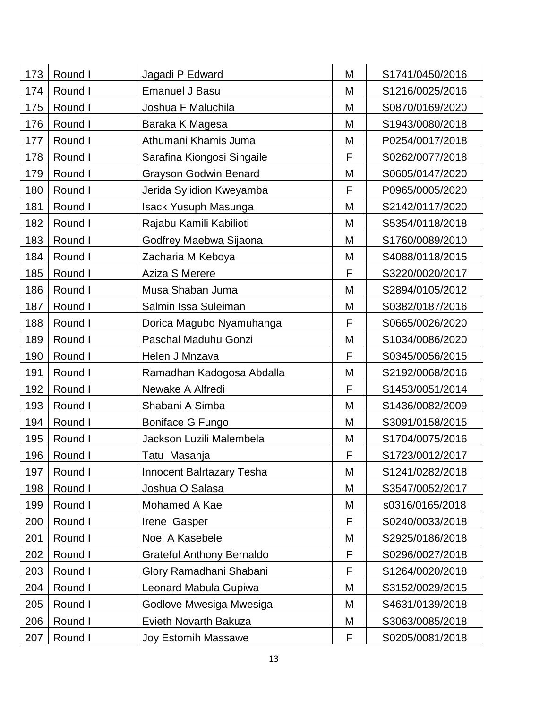| 173 | Round I | Jagadi P Edward                  | M | S1741/0450/2016 |
|-----|---------|----------------------------------|---|-----------------|
| 174 | Round I | <b>Emanuel J Basu</b>            | M | S1216/0025/2016 |
| 175 | Round I | Joshua F Maluchila               | M | S0870/0169/2020 |
| 176 | Round I | Baraka K Magesa                  | M | S1943/0080/2018 |
| 177 | Round I | Athumani Khamis Juma             | M | P0254/0017/2018 |
| 178 | Round I | Sarafina Kiongosi Singaile       | F | S0262/0077/2018 |
| 179 | Round I | <b>Grayson Godwin Benard</b>     | M | S0605/0147/2020 |
| 180 | Round I | Jerida Sylidion Kweyamba         | F | P0965/0005/2020 |
| 181 | Round I | <b>Isack Yusuph Masunga</b>      | M | S2142/0117/2020 |
| 182 | Round I | Rajabu Kamili Kabilioti          | M | S5354/0118/2018 |
| 183 | Round I | Godfrey Maebwa Sijaona           | M | S1760/0089/2010 |
| 184 | Round I | Zacharia M Keboya                | M | S4088/0118/2015 |
| 185 | Round I | Aziza S Merere                   | F | S3220/0020/2017 |
| 186 | Round I | Musa Shaban Juma                 | M | S2894/0105/2012 |
| 187 | Round I | Salmin Issa Suleiman             | M | S0382/0187/2016 |
| 188 | Round I | Dorica Magubo Nyamuhanga         | F | S0665/0026/2020 |
| 189 | Round I | Paschal Maduhu Gonzi             | M | S1034/0086/2020 |
| 190 | Round I | Helen J Mnzava                   | F | S0345/0056/2015 |
| 191 | Round I | Ramadhan Kadogosa Abdalla        | M | S2192/0068/2016 |
| 192 | Round I | Newake A Alfredi                 | F | S1453/0051/2014 |
| 193 | Round I | Shabani A Simba                  | M | S1436/0082/2009 |
| 194 | Round I | Boniface G Fungo                 | M | S3091/0158/2015 |
| 195 | Round I | Jackson Luzili Malembela         | M | S1704/0075/2016 |
| 196 | Round I | Tatu Masanja                     | F | S1723/0012/2017 |
| 197 | Round I | <b>Innocent Balrtazary Tesha</b> | M | S1241/0282/2018 |
| 198 | Round I | Joshua O Salasa                  | M | S3547/0052/2017 |
| 199 | Round I | Mohamed A Kae                    | M | s0316/0165/2018 |
| 200 | Round I | Irene Gasper                     | F | S0240/0033/2018 |
| 201 | Round I | Noel A Kasebele                  | M | S2925/0186/2018 |
| 202 | Round I | <b>Grateful Anthony Bernaldo</b> | F | S0296/0027/2018 |
| 203 | Round I | Glory Ramadhani Shabani          | F | S1264/0020/2018 |
| 204 | Round I | Leonard Mabula Gupiwa            | M | S3152/0029/2015 |
| 205 | Round I | Godlove Mwesiga Mwesiga          | M | S4631/0139/2018 |
| 206 | Round I | Evieth Novarth Bakuza            | M | S3063/0085/2018 |
| 207 | Round I | <b>Joy Estomih Massawe</b>       | F | S0205/0081/2018 |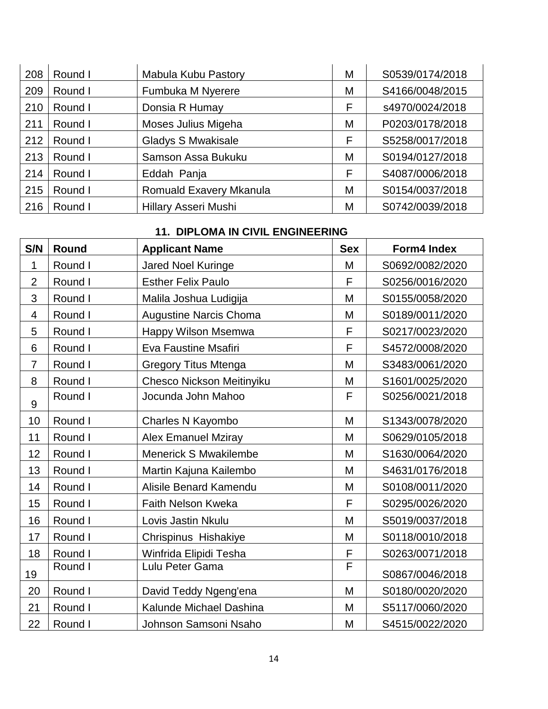| 208 | Round I | Mabula Kubu Pastory         | М | S0539/0174/2018 |
|-----|---------|-----------------------------|---|-----------------|
| 209 | Round I | Fumbuka M Nyerere           | M | S4166/0048/2015 |
| 210 | Round I | Donsia R Humay              | F | s4970/0024/2018 |
| 211 | Round I | Moses Julius Migeha         | M | P0203/0178/2018 |
| 212 | Round I | <b>Gladys S Mwakisale</b>   | F | S5258/0017/2018 |
| 213 | Round I | Samson Assa Bukuku          | М | S0194/0127/2018 |
| 214 | Round I | Eddah Panja                 | F | S4087/0006/2018 |
| 215 | Round I | Romuald Exavery Mkanula     | M | S0154/0037/2018 |
| 216 | Round I | <b>Hillary Asseri Mushi</b> | М | S0742/0039/2018 |

# **11. DIPLOMA IN CIVIL ENGINEERING**

| S/N            | Round   | <b>Applicant Name</b>         | <b>Sex</b> | <b>Form4 Index</b> |
|----------------|---------|-------------------------------|------------|--------------------|
| 1              | Round I | <b>Jared Noel Kuringe</b>     | M          | S0692/0082/2020    |
| $\overline{2}$ | Round I | <b>Esther Felix Paulo</b>     | F          | S0256/0016/2020    |
| 3              | Round I | Malila Joshua Ludigija        | M          | S0155/0058/2020    |
| 4              | Round I | <b>Augustine Narcis Choma</b> | M          | S0189/0011/2020    |
| 5              | Round I | Happy Wilson Msemwa           | F          | S0217/0023/2020    |
| 6              | Round I | Eva Faustine Msafiri          | F          | S4572/0008/2020    |
| $\overline{7}$ | Round I | <b>Gregory Titus Mtenga</b>   | M          | S3483/0061/2020    |
| 8              | Round I | Chesco Nickson Meitinyiku     | M          | S1601/0025/2020    |
| 9              | Round I | Jocunda John Mahoo            | F          | S0256/0021/2018    |
| 10             | Round I | Charles N Kayombo             | M          | S1343/0078/2020    |
| 11             | Round I | <b>Alex Emanuel Mziray</b>    | M          | S0629/0105/2018    |
| 12             | Round I | <b>Menerick S Mwakilembe</b>  | M          | S1630/0064/2020    |
| 13             | Round I | Martin Kajuna Kailembo        | M          | S4631/0176/2018    |
| 14             | Round I | Alisile Benard Kamendu        | M          | S0108/0011/2020    |
| 15             | Round I | Faith Nelson Kweka            | F          | S0295/0026/2020    |
| 16             | Round I | Lovis Jastin Nkulu            | M          | S5019/0037/2018    |
| 17             | Round I | Chrispinus Hishakiye          | M          | S0118/0010/2018    |
| 18             | Round I | Winfrida Elipidi Tesha        | F          | S0263/0071/2018    |
| 19             | Round I | Lulu Peter Gama               | F          | S0867/0046/2018    |
| 20             | Round I | David Teddy Ngeng'ena         | M          | S0180/0020/2020    |
| 21             | Round I | Kalunde Michael Dashina       | M          | S5117/0060/2020    |
| 22             | Round I | Johnson Samsoni Nsaho         | M          | S4515/0022/2020    |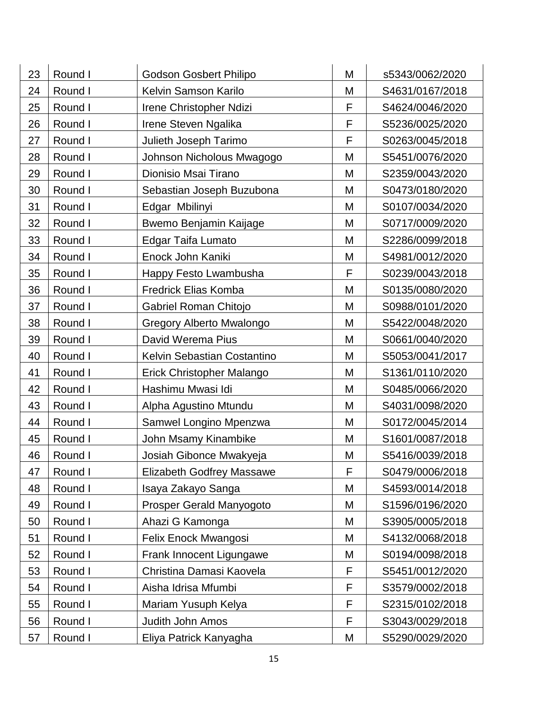| 23 | Round I | <b>Godson Gosbert Philipo</b>    | M           | s5343/0062/2020 |
|----|---------|----------------------------------|-------------|-----------------|
| 24 | Round I | Kelvin Samson Karilo             | M           | S4631/0167/2018 |
| 25 | Round I | Irene Christopher Ndizi          | F           | S4624/0046/2020 |
| 26 | Round I | Irene Steven Ngalika             | F           | S5236/0025/2020 |
| 27 | Round I | Julieth Joseph Tarimo            | F           | S0263/0045/2018 |
| 28 | Round I | Johnson Nicholous Mwagogo        | M           | S5451/0076/2020 |
| 29 | Round I | Dionisio Msai Tirano             | M           | S2359/0043/2020 |
| 30 | Round I | Sebastian Joseph Buzubona        | M           | S0473/0180/2020 |
| 31 | Round I | Edgar Mbilinyi                   | M           | S0107/0034/2020 |
| 32 | Round I | Bwemo Benjamin Kaijage           | M           | S0717/0009/2020 |
| 33 | Round I | Edgar Taifa Lumato               | M           | S2286/0099/2018 |
| 34 | Round I | Enock John Kaniki                | M           | S4981/0012/2020 |
| 35 | Round I | Happy Festo Lwambusha            | F           | S0239/0043/2018 |
| 36 | Round I | <b>Fredrick Elias Komba</b>      | M           | S0135/0080/2020 |
| 37 | Round I | <b>Gabriel Roman Chitojo</b>     | M           | S0988/0101/2020 |
| 38 | Round I | Gregory Alberto Mwalongo         | M           | S5422/0048/2020 |
| 39 | Round I | David Werema Pius                | M           | S0661/0040/2020 |
| 40 | Round I | Kelvin Sebastian Costantino      | M           | S5053/0041/2017 |
| 41 | Round I | Erick Christopher Malango        | M           | S1361/0110/2020 |
| 42 | Round I | Hashimu Mwasi Idi                | M           | S0485/0066/2020 |
| 43 | Round I | Alpha Agustino Mtundu            | M           | S4031/0098/2020 |
| 44 | Round I | Samwel Longino Mpenzwa           | M           | S0172/0045/2014 |
| 45 | Round I | John Msamy Kinambike             | M           | S1601/0087/2018 |
| 46 | Round I | Josiah Gibonce Mwakyeja          | M           | S5416/0039/2018 |
| 47 | Round I | <b>Elizabeth Godfrey Massawe</b> | F           | S0479/0006/2018 |
| 48 | Round I | Isaya Zakayo Sanga               | M           | S4593/0014/2018 |
| 49 | Round I | Prosper Gerald Manyogoto         | M           | S1596/0196/2020 |
| 50 | Round I | Ahazi G Kamonga                  | M           | S3905/0005/2018 |
| 51 | Round I | Felix Enock Mwangosi             | M           | S4132/0068/2018 |
| 52 | Round I | Frank Innocent Ligungawe         | M           | S0194/0098/2018 |
| 53 | Round I | Christina Damasi Kaovela         | F           | S5451/0012/2020 |
| 54 | Round I | Aisha Idrisa Mfumbi              | $\mathsf F$ | S3579/0002/2018 |
| 55 | Round I | Mariam Yusuph Kelya              | F           | S2315/0102/2018 |
| 56 | Round I | Judith John Amos                 | F           | S3043/0029/2018 |
| 57 | Round I | Eliya Patrick Kanyagha           | Μ           | S5290/0029/2020 |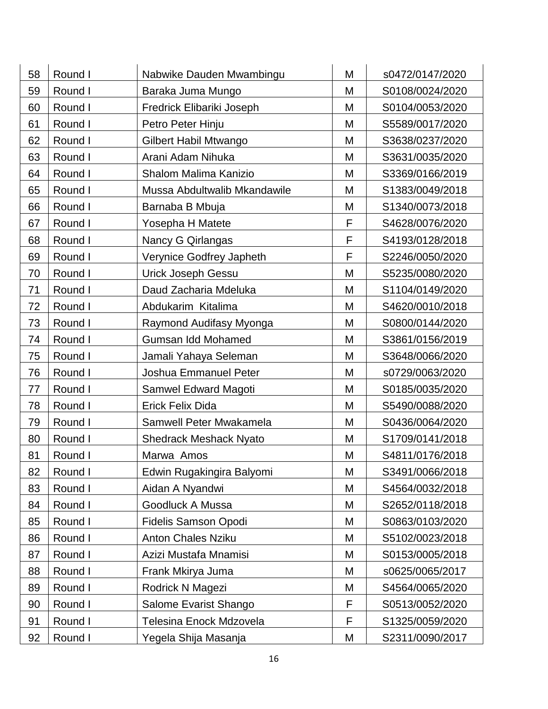| 58 | Round I | Nabwike Dauden Mwambingu      | M | s0472/0147/2020 |
|----|---------|-------------------------------|---|-----------------|
| 59 | Round I | Baraka Juma Mungo             | M | S0108/0024/2020 |
| 60 | Round I | Fredrick Elibariki Joseph     | M | S0104/0053/2020 |
| 61 | Round I | Petro Peter Hinju             | M | S5589/0017/2020 |
| 62 | Round I | Gilbert Habil Mtwango         | M | S3638/0237/2020 |
| 63 | Round I | Arani Adam Nihuka             | M | S3631/0035/2020 |
| 64 | Round I | Shalom Malima Kanizio         | M | S3369/0166/2019 |
| 65 | Round I | Mussa Abdultwalib Mkandawile  | M | S1383/0049/2018 |
| 66 | Round I | Barnaba B Mbuja               | M | S1340/0073/2018 |
| 67 | Round I | Yosepha H Matete              | F | S4628/0076/2020 |
| 68 | Round I | Nancy G Qirlangas             | F | S4193/0128/2018 |
| 69 | Round I | Verynice Godfrey Japheth      | F | S2246/0050/2020 |
| 70 | Round I | <b>Urick Joseph Gessu</b>     | M | S5235/0080/2020 |
| 71 | Round I | Daud Zacharia Mdeluka         | M | S1104/0149/2020 |
| 72 | Round I | Abdukarim Kitalima            | M | S4620/0010/2018 |
| 73 | Round I | Raymond Audifasy Myonga       | M | S0800/0144/2020 |
| 74 | Round I | Gumsan Idd Mohamed            | M | S3861/0156/2019 |
| 75 | Round I | Jamali Yahaya Seleman         | M | S3648/0066/2020 |
| 76 | Round I | Joshua Emmanuel Peter         | M | s0729/0063/2020 |
| 77 | Round I | Samwel Edward Magoti          | M | S0185/0035/2020 |
| 78 | Round I | <b>Erick Felix Dida</b>       | M | S5490/0088/2020 |
| 79 | Round I | Samwell Peter Mwakamela       | M | S0436/0064/2020 |
| 80 | Round I | <b>Shedrack Meshack Nyato</b> | M | S1709/0141/2018 |
| 81 | Round I | Marwa Amos                    | M | S4811/0176/2018 |
| 82 | Round I | Edwin Rugakingira Balyomi     | M | S3491/0066/2018 |
| 83 | Round I | Aidan A Nyandwi               | M | S4564/0032/2018 |
| 84 | Round I | Goodluck A Mussa              | M | S2652/0118/2018 |
| 85 | Round I | <b>Fidelis Samson Opodi</b>   | M | S0863/0103/2020 |
| 86 | Round I | <b>Anton Chales Nziku</b>     | M | S5102/0023/2018 |
| 87 | Round I | Azizi Mustafa Mnamisi         | M | S0153/0005/2018 |
| 88 | Round I | Frank Mkirya Juma             | M | s0625/0065/2017 |
| 89 | Round I | Rodrick N Magezi              | M | S4564/0065/2020 |
| 90 | Round I | Salome Evarist Shango         | F | S0513/0052/2020 |
| 91 | Round I | Telesina Enock Mdzovela       | F | S1325/0059/2020 |
| 92 | Round I | Yegela Shija Masanja          | М | S2311/0090/2017 |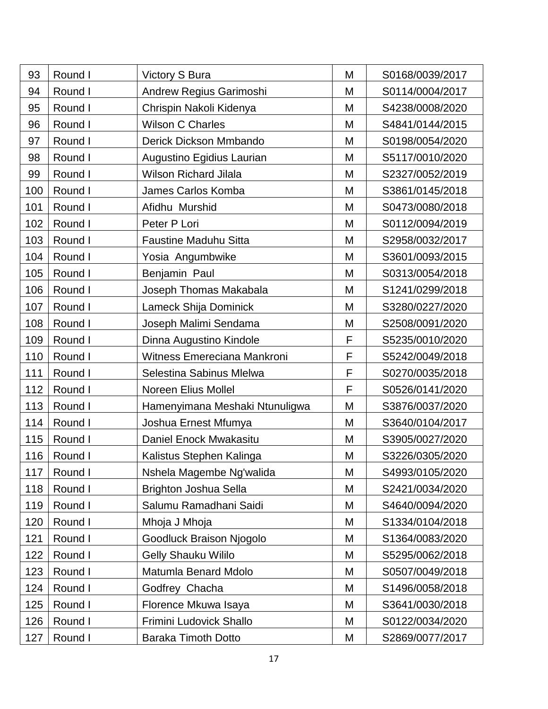| 93  | Round I | <b>Victory S Bura</b>          | M | S0168/0039/2017 |
|-----|---------|--------------------------------|---|-----------------|
| 94  | Round I | Andrew Regius Garimoshi        | M | S0114/0004/2017 |
| 95  | Round I | Chrispin Nakoli Kidenya        | M | S4238/0008/2020 |
| 96  | Round I | <b>Wilson C Charles</b>        | M | S4841/0144/2015 |
| 97  | Round I | Derick Dickson Mmbando         | M | S0198/0054/2020 |
| 98  | Round I | Augustino Egidius Laurian      | M | S5117/0010/2020 |
| 99  | Round I | <b>Wilson Richard Jilala</b>   | M | S2327/0052/2019 |
| 100 | Round I | James Carlos Komba             | M | S3861/0145/2018 |
| 101 | Round I | Afidhu Murshid                 | M | S0473/0080/2018 |
| 102 | Round I | Peter P Lori                   | M | S0112/0094/2019 |
| 103 | Round I | <b>Faustine Maduhu Sitta</b>   | M | S2958/0032/2017 |
| 104 | Round I | Yosia Angumbwike               | M | S3601/0093/2015 |
| 105 | Round I | Benjamin Paul                  | M | S0313/0054/2018 |
| 106 | Round I | Joseph Thomas Makabala         | M | S1241/0299/2018 |
| 107 | Round I | Lameck Shija Dominick          | M | S3280/0227/2020 |
| 108 | Round I | Joseph Malimi Sendama          | M | S2508/0091/2020 |
| 109 | Round I | Dinna Augustino Kindole        | F | S5235/0010/2020 |
| 110 | Round I | Witness Emereciana Mankroni    | F | S5242/0049/2018 |
| 111 | Round I | Selestina Sabinus Mlelwa       | F | S0270/0035/2018 |
| 112 | Round I | Noreen Elius Mollel            | F | S0526/0141/2020 |
| 113 | Round I | Hamenyimana Meshaki Ntunuligwa | M | S3876/0037/2020 |
| 114 | Round I | Joshua Ernest Mfumya           | M | S3640/0104/2017 |
| 115 | Round I | Daniel Enock Mwakasitu         | M | S3905/0027/2020 |
| 116 | Round I | Kalistus Stephen Kalinga       | M | S3226/0305/2020 |
| 117 | Round I | Nshela Magembe Ng'walida       | M | S4993/0105/2020 |
| 118 | Round I | Brighton Joshua Sella          | M | S2421/0034/2020 |
| 119 | Round I | Salumu Ramadhani Saidi         | M | S4640/0094/2020 |
| 120 | Round I | Mhoja J Mhoja                  | M | S1334/0104/2018 |
| 121 | Round I | Goodluck Braison Njogolo       | M | S1364/0083/2020 |
| 122 | Round I | <b>Gelly Shauku Wililo</b>     | M | S5295/0062/2018 |
| 123 | Round I | Matumla Benard Mdolo           | M | S0507/0049/2018 |
| 124 | Round I | Godfrey Chacha                 | M | S1496/0058/2018 |
| 125 | Round I | Florence Mkuwa Isaya           | M | S3641/0030/2018 |
| 126 | Round I | Frimini Ludovick Shallo        | M | S0122/0034/2020 |
| 127 | Round I | <b>Baraka Timoth Dotto</b>     | M | S2869/0077/2017 |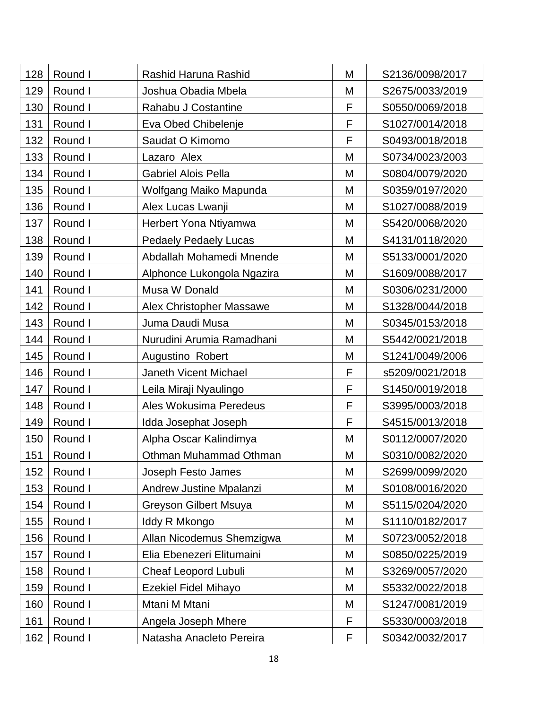| M                                                      |                 |
|--------------------------------------------------------|-----------------|
| Round I<br>128<br>Rashid Haruna Rashid                 | S2136/0098/2017 |
| 129<br>Round I<br>M<br>Joshua Obadia Mbela             | S2675/0033/2019 |
| F<br>Round I<br>130<br>Rahabu J Costantine             | S0550/0069/2018 |
| F<br>131<br>Round I<br>Eva Obed Chibelenje             | S1027/0014/2018 |
| F<br>132<br>Round I<br>Saudat O Kimomo                 | S0493/0018/2018 |
| 133<br>Round I<br>Lazaro Alex<br>M                     | S0734/0023/2003 |
| 134<br>Round I<br><b>Gabriel Alois Pella</b><br>M      | S0804/0079/2020 |
| 135<br>Round I<br>Wolfgang Maiko Mapunda<br>M          | S0359/0197/2020 |
| Round I<br>136<br>Alex Lucas Lwanji<br>M               | S1027/0088/2019 |
| Round I<br>137<br>Herbert Yona Ntiyamwa<br>M           | S5420/0068/2020 |
| Round I<br>138<br><b>Pedaely Pedaely Lucas</b><br>M    | S4131/0118/2020 |
| Round I<br>Abdallah Mohamedi Mnende<br>M<br>139        | S5133/0001/2020 |
| Round I<br>140<br>Alphonce Lukongola Ngazira<br>M      | S1609/0088/2017 |
| Round I<br>Musa W Donald<br>M<br>141                   | S0306/0231/2000 |
| 142<br>Round I<br>M<br><b>Alex Christopher Massawe</b> | S1328/0044/2018 |
| 143<br>M<br>Round I<br>Juma Daudi Musa                 | S0345/0153/2018 |
| 144<br>Round I<br>Nurudini Arumia Ramadhani<br>M       | S5442/0021/2018 |
| 145<br>Round I<br>Augustino Robert<br>M                | S1241/0049/2006 |
| 146<br>Round I<br>Janeth Vicent Michael<br>F           | s5209/0021/2018 |
| F<br>147<br>Round I<br>Leila Miraji Nyaulingo          | S1450/0019/2018 |
| F<br>Round I<br>Ales Wokusima Peredeus<br>148          | S3995/0003/2018 |
| F<br>149<br>Round I<br>Idda Josephat Joseph            | S4515/0013/2018 |
| Round I<br>Alpha Oscar Kalindimya<br>M<br>150          | S0112/0007/2020 |
| 151<br>Round I<br>Othman Muhammad Othman<br>M          | S0310/0082/2020 |
| Round I<br>152<br>Joseph Festo James<br>M              | S2699/0099/2020 |
| Round I<br>153<br>Andrew Justine Mpalanzi<br>M         | S0108/0016/2020 |
| Round I<br><b>Greyson Gilbert Msuya</b><br>M<br>154    | S5115/0204/2020 |
| Round I<br>M<br>155<br>Iddy R Mkongo                   | S1110/0182/2017 |
| Round I<br>156<br>Allan Nicodemus Shemzigwa<br>M       | S0723/0052/2018 |
| Round I<br>Elia Ebenezeri Elitumaini<br>M<br>157       | S0850/0225/2019 |
| Round I<br><b>Cheaf Leopord Lubuli</b><br>M<br>158     | S3269/0057/2020 |
| Round I<br><b>Ezekiel Fidel Mihayo</b><br>M<br>159     | S5332/0022/2018 |
| Round I<br>Mtani M Mtani<br>M<br>160                   | S1247/0081/2019 |
| F<br>Round I<br>Angela Joseph Mhere<br>161             | S5330/0003/2018 |
| F<br>Round I<br>162<br>Natasha Anacleto Pereira        | S0342/0032/2017 |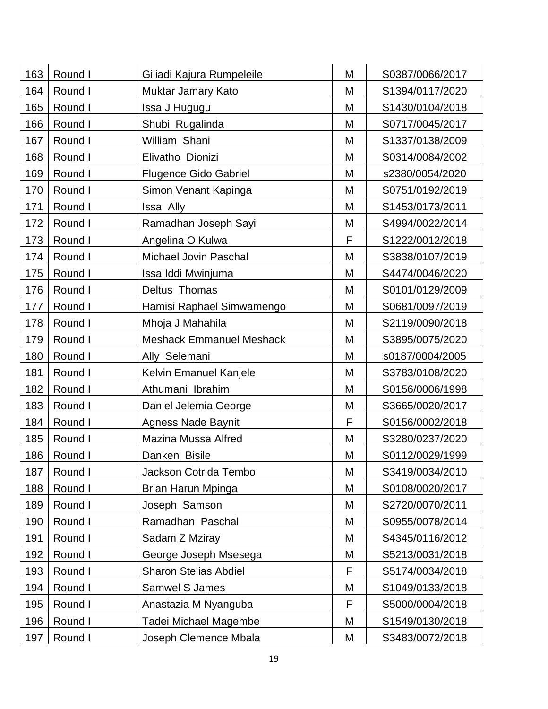| 163 | Round I | Giliadi Kajura Rumpeleile       | M | S0387/0066/2017 |
|-----|---------|---------------------------------|---|-----------------|
| 164 | Round I | Muktar Jamary Kato              | M | S1394/0117/2020 |
| 165 | Round I | Issa J Hugugu                   | M | S1430/0104/2018 |
| 166 | Round I | Shubi Rugalinda                 | M | S0717/0045/2017 |
| 167 | Round I | William Shani                   | M | S1337/0138/2009 |
| 168 | Round I | Elivatho Dionizi                | M | S0314/0084/2002 |
| 169 | Round I | <b>Flugence Gido Gabriel</b>    | M | s2380/0054/2020 |
| 170 | Round I | Simon Venant Kapinga            | M | S0751/0192/2019 |
| 171 | Round I | Issa Ally                       | M | S1453/0173/2011 |
| 172 | Round I | Ramadhan Joseph Sayi            | M | S4994/0022/2014 |
| 173 | Round I | Angelina O Kulwa                | F | S1222/0012/2018 |
| 174 | Round I | Michael Jovin Paschal           | M | S3838/0107/2019 |
| 175 | Round I | Issa Iddi Mwinjuma              | M | S4474/0046/2020 |
| 176 | Round I | Deltus Thomas                   | M | S0101/0129/2009 |
| 177 | Round I | Hamisi Raphael Simwamengo       | M | S0681/0097/2019 |
| 178 | Round I | Mhoja J Mahahila                | M | S2119/0090/2018 |
| 179 | Round I | <b>Meshack Emmanuel Meshack</b> | M | S3895/0075/2020 |
| 180 | Round I | Ally Selemani                   | M | s0187/0004/2005 |
| 181 | Round I | Kelvin Emanuel Kanjele          | M | S3783/0108/2020 |
| 182 | Round I | Athumani Ibrahim                | M | S0156/0006/1998 |
| 183 | Round I | Daniel Jelemia George           | M | S3665/0020/2017 |
| 184 | Round I | <b>Agness Nade Baynit</b>       | F | S0156/0002/2018 |
| 185 | Round I | Mazina Mussa Alfred             | M | S3280/0237/2020 |
| 186 | Round I | Danken Bisile                   | M | S0112/0029/1999 |
| 187 | Round I | Jackson Cotrida Tembo           | M | S3419/0034/2010 |
| 188 | Round I | Brian Harun Mpinga              | M | S0108/0020/2017 |
| 189 | Round I | Joseph Samson                   | M | S2720/0070/2011 |
| 190 | Round I | Ramadhan Paschal                | M | S0955/0078/2014 |
| 191 | Round I | Sadam Z Mziray                  | M | S4345/0116/2012 |
| 192 | Round I | George Joseph Msesega           | M | S5213/0031/2018 |
| 193 | Round I | <b>Sharon Stelias Abdiel</b>    | F | S5174/0034/2018 |
| 194 | Round I | Samwel S James                  | M | S1049/0133/2018 |
| 195 | Round I | Anastazia M Nyanguba            | F | S5000/0004/2018 |
| 196 | Round I | Tadei Michael Magembe           | M | S1549/0130/2018 |
| 197 | Round I | Joseph Clemence Mbala           | Μ | S3483/0072/2018 |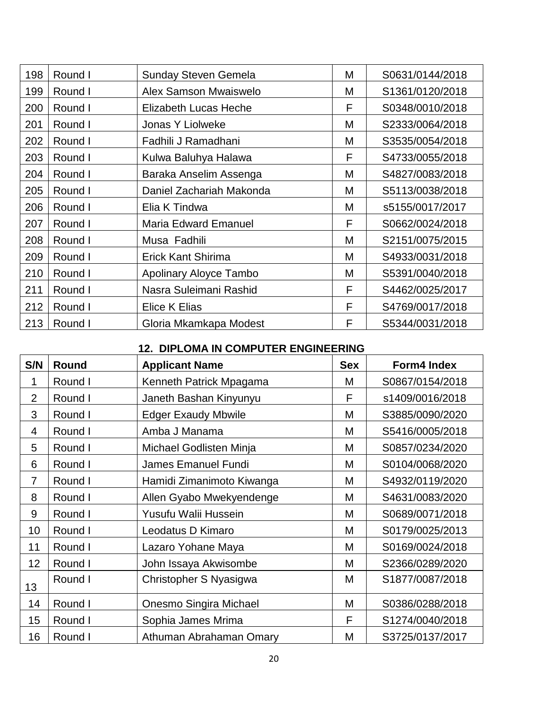| 198 | Round I | <b>Sunday Steven Gemela</b>  | M | S0631/0144/2018 |
|-----|---------|------------------------------|---|-----------------|
| 199 | Round I | <b>Alex Samson Mwaiswelo</b> | M | S1361/0120/2018 |
| 200 | Round I | Elizabeth Lucas Heche        | F | S0348/0010/2018 |
| 201 | Round I | Jonas Y Liolweke             | M | S2333/0064/2018 |
| 202 | Round I | Fadhili J Ramadhani          | M | S3535/0054/2018 |
| 203 | Round I | Kulwa Baluhya Halawa         | F | S4733/0055/2018 |
| 204 | Round I | Baraka Anselim Assenga       | M | S4827/0083/2018 |
| 205 | Round I | Daniel Zachariah Makonda     | M | S5113/0038/2018 |
| 206 | Round I | Elia K Tindwa                | M | s5155/0017/2017 |
| 207 | Round I | <b>Maria Edward Emanuel</b>  | F | S0662/0024/2018 |
| 208 | Round I | Musa Fadhili                 | M | S2151/0075/2015 |
| 209 | Round I | <b>Erick Kant Shirima</b>    | M | S4933/0031/2018 |
| 210 | Round I | Apolinary Aloyce Tambo       | M | S5391/0040/2018 |
| 211 | Round I | Nasra Suleimani Rashid       | F | S4462/0025/2017 |
| 212 | Round I | <b>Elice K Elias</b>         | F | S4769/0017/2018 |
| 213 | Round I | Gloria Mkamkapa Modest       | F | S5344/0031/2018 |

## **12. DIPLOMA IN COMPUTER ENGINEERING**

| S/N            | Round   | <b>Applicant Name</b>      | <b>Sex</b> | Form4 Index     |
|----------------|---------|----------------------------|------------|-----------------|
| 1              | Round I | Kenneth Patrick Mpagama    | M          | S0867/0154/2018 |
| $\overline{2}$ | Round I | Janeth Bashan Kinyunyu     | F          | s1409/0016/2018 |
| 3              | Round I | <b>Edger Exaudy Mbwile</b> | M          | S3885/0090/2020 |
| 4              | Round I | Amba J Manama              | M          | S5416/0005/2018 |
| 5              | Round I | Michael Godlisten Minja    | M          | S0857/0234/2020 |
| 6              | Round I | <b>James Emanuel Fundi</b> | M          | S0104/0068/2020 |
| $\overline{7}$ | Round I | Hamidi Zimanimoto Kiwanga  | M          | S4932/0119/2020 |
| 8              | Round I | Allen Gyabo Mwekyendenge   | M          | S4631/0083/2020 |
| 9              | Round I | Yusufu Walii Hussein       | M          | S0689/0071/2018 |
| 10             | Round I | Leodatus D Kimaro          | M          | S0179/0025/2013 |
| 11             | Round I | Lazaro Yohane Maya         | M          | S0169/0024/2018 |
| 12             | Round I | John Issaya Akwisombe      | M          | S2366/0289/2020 |
| 13             | Round I | Christopher S Nyasigwa     | M          | S1877/0087/2018 |
| 14             | Round I | Onesmo Singira Michael     | M          | S0386/0288/2018 |
| 15             | Round I | Sophia James Mrima         | F          | S1274/0040/2018 |
| 16             | Round I | Athuman Abrahaman Omary    | M          | S3725/0137/2017 |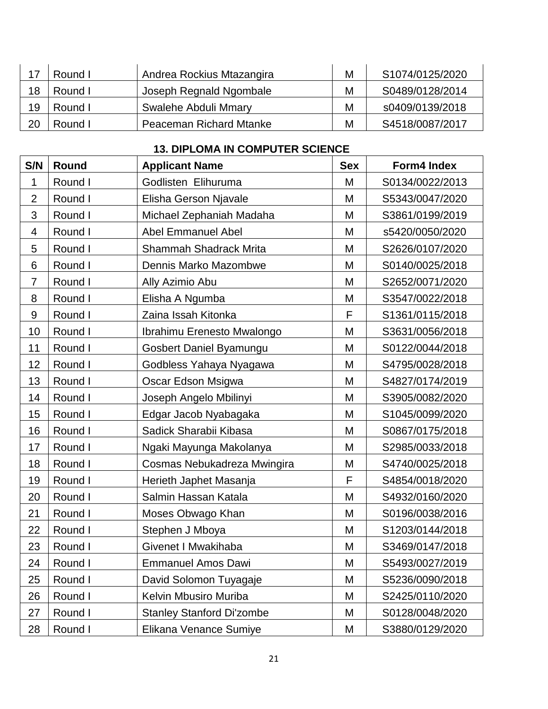|    | Round I | Andrea Rockius Mtazangira      | M | S1074/0125/2020 |
|----|---------|--------------------------------|---|-----------------|
| 18 | Round I | Joseph Regnald Ngombale        | М | S0489/0128/2014 |
| 19 | Round I | Swalehe Abduli Mmary           | M | s0409/0139/2018 |
| 20 | Round I | <b>Peaceman Richard Mtanke</b> | М | S4518/0087/2017 |

## **13. DIPLOMA IN COMPUTER SCIENCE**

| S/N              | Round   | <b>Applicant Name</b>            | <b>Sex</b> | <b>Form4 Index</b> |
|------------------|---------|----------------------------------|------------|--------------------|
| 1                | Round I | Godlisten Elihuruma              | M          | S0134/0022/2013    |
| $\overline{2}$   | Round I | Elisha Gerson Njavale            | M          | S5343/0047/2020    |
| 3                | Round I | Michael Zephaniah Madaha         | M          | S3861/0199/2019    |
| 4                | Round I | <b>Abel Emmanuel Abel</b>        | M          | s5420/0050/2020    |
| 5                | Round I | <b>Shammah Shadrack Mrita</b>    | M          | S2626/0107/2020    |
| 6                | Round I | Dennis Marko Mazombwe            | M          | S0140/0025/2018    |
| $\overline{7}$   | Round I | Ally Azimio Abu                  | M          | S2652/0071/2020    |
| 8                | Round I | Elisha A Ngumba                  | M          | S3547/0022/2018    |
| $\boldsymbol{9}$ | Round I | Zaina Issah Kitonka              | F          | S1361/0115/2018    |
| 10               | Round I | Ibrahimu Erenesto Mwalongo       | M          | S3631/0056/2018    |
| 11               | Round I | Gosbert Daniel Byamungu          | M          | S0122/0044/2018    |
| 12               | Round I | Godbless Yahaya Nyagawa          | M          | S4795/0028/2018    |
| 13               | Round I | Oscar Edson Msigwa               | M          | S4827/0174/2019    |
| 14               | Round I | Joseph Angelo Mbilinyi           | M          | S3905/0082/2020    |
| 15               | Round I | Edgar Jacob Nyabagaka            | M          | S1045/0099/2020    |
| 16               | Round I | Sadick Sharabii Kibasa           | M          | S0867/0175/2018    |
| 17               | Round I | Ngaki Mayunga Makolanya          | M          | S2985/0033/2018    |
| 18               | Round I | Cosmas Nebukadreza Mwingira      | M          | S4740/0025/2018    |
| 19               | Round I | Herieth Japhet Masanja           | F          | S4854/0018/2020    |
| 20               | Round I | Salmin Hassan Katala             | M          | S4932/0160/2020    |
| 21               | Round I | Moses Obwago Khan                | M          | S0196/0038/2016    |
| 22               | Round I | Stephen J Mboya                  | M          | S1203/0144/2018    |
| 23               | Round I | Givenet I Mwakihaba              | M          | S3469/0147/2018    |
| 24               | Round I | <b>Emmanuel Amos Dawi</b>        | M          | S5493/0027/2019    |
| 25               | Round I | David Solomon Tuyagaje           | M          | S5236/0090/2018    |
| 26               | Round I | Kelvin Mbusiro Muriba            | M          | S2425/0110/2020    |
| 27               | Round I | <b>Stanley Stanford Di'zombe</b> | M          | S0128/0048/2020    |
| 28               | Round I | Elikana Venance Sumiye           | M          | S3880/0129/2020    |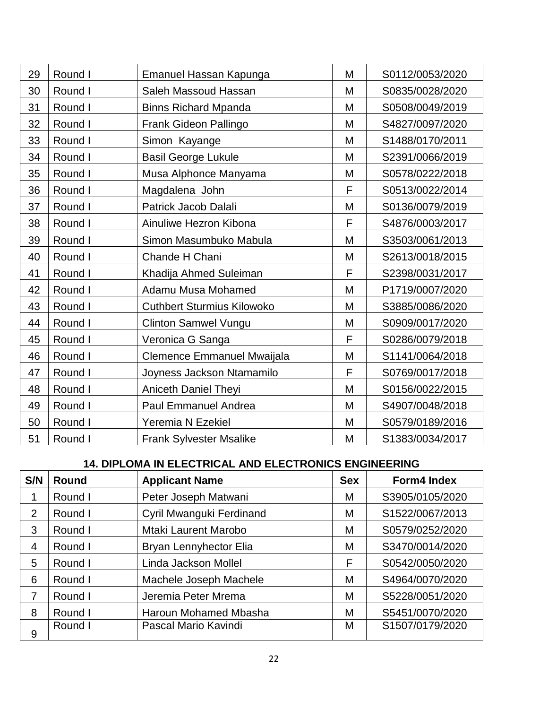| 29 | Round I | Emanuel Hassan Kapunga            | M | S0112/0053/2020 |
|----|---------|-----------------------------------|---|-----------------|
| 30 | Round I | Saleh Massoud Hassan              | M | S0835/0028/2020 |
| 31 | Round I | <b>Binns Richard Mpanda</b>       | M | S0508/0049/2019 |
| 32 | Round I | Frank Gideon Pallingo             | M | S4827/0097/2020 |
| 33 | Round I | Simon Kayange                     | M | S1488/0170/2011 |
| 34 | Round I | <b>Basil George Lukule</b>        | M | S2391/0066/2019 |
| 35 | Round I | Musa Alphonce Manyama             | M | S0578/0222/2018 |
| 36 | Round I | Magdalena John                    | F | S0513/0022/2014 |
| 37 | Round I | Patrick Jacob Dalali              | M | S0136/0079/2019 |
| 38 | Round I | Ainuliwe Hezron Kibona            | F | S4876/0003/2017 |
| 39 | Round I | Simon Masumbuko Mabula            | M | S3503/0061/2013 |
| 40 | Round I | Chande H Chani                    | M | S2613/0018/2015 |
| 41 | Round I | Khadija Ahmed Suleiman            | F | S2398/0031/2017 |
| 42 | Round I | Adamu Musa Mohamed                | M | P1719/0007/2020 |
| 43 | Round I | <b>Cuthbert Sturmius Kilowoko</b> | M | S3885/0086/2020 |
| 44 | Round I | <b>Clinton Samwel Vungu</b>       | M | S0909/0017/2020 |
| 45 | Round I | Veronica G Sanga                  | F | S0286/0079/2018 |
| 46 | Round I | Clemence Emmanuel Mwaijala        | M | S1141/0064/2018 |
| 47 | Round I | Joyness Jackson Ntamamilo         | F | S0769/0017/2018 |
| 48 | Round I | <b>Aniceth Daniel Theyi</b>       | M | S0156/0022/2015 |
| 49 | Round I | <b>Paul Emmanuel Andrea</b>       | M | S4907/0048/2018 |
| 50 | Round I | Yeremia N Ezekiel                 | M | S0579/0189/2016 |
| 51 | Round I | <b>Frank Sylvester Msalike</b>    | M | S1383/0034/2017 |

## **14. DIPLOMA IN ELECTRICAL AND ELECTRONICS ENGINEERING**

| S/N            | <b>Round</b> | <b>Applicant Name</b>    | <b>Sex</b> | <b>Form4 Index</b> |
|----------------|--------------|--------------------------|------------|--------------------|
| 1              | Round I      | Peter Joseph Matwani     | М          | S3905/0105/2020    |
| 2              | Round I      | Cyril Mwanguki Ferdinand | M          | S1522/0067/2013    |
| 3              | Round I      | Mtaki Laurent Marobo     | M          | S0579/0252/2020    |
| $\overline{4}$ | Round I      | Bryan Lennyhector Elia   | Μ          | S3470/0014/2020    |
| 5              | Round I      | Linda Jackson Mollel     | F          | S0542/0050/2020    |
| 6              | Round I      | Machele Joseph Machele   | M          | S4964/0070/2020    |
| 7              | Round I      | Jeremia Peter Mrema      | M          | S5228/0051/2020    |
| 8              | Round I      | Haroun Mohamed Mbasha    | M          | S5451/0070/2020    |
| 9              | Round I      | Pascal Mario Kavindi     | М          | S1507/0179/2020    |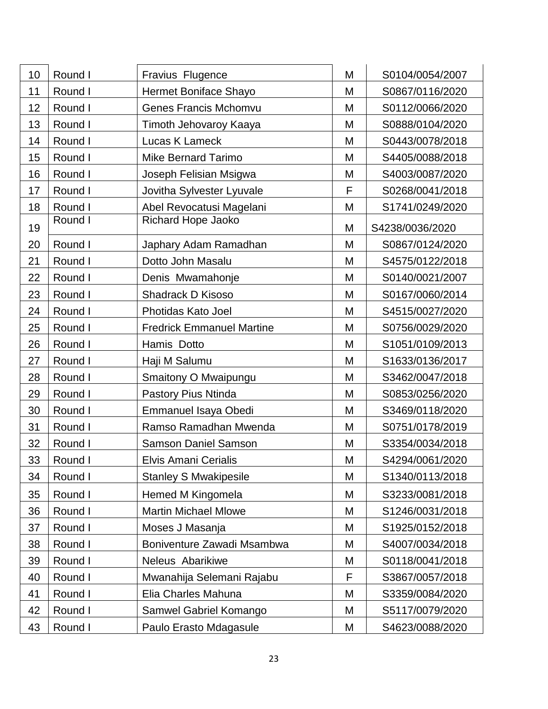| 10 | Round I | Fravius Flugence                 | M | S0104/0054/2007 |
|----|---------|----------------------------------|---|-----------------|
| 11 | Round I | Hermet Boniface Shayo            | M | S0867/0116/2020 |
| 12 | Round I | <b>Genes Francis Mchomvu</b>     | M | S0112/0066/2020 |
| 13 | Round I | Timoth Jehovaroy Kaaya           | M | S0888/0104/2020 |
| 14 | Round I | Lucas K Lameck                   | M | S0443/0078/2018 |
| 15 | Round I | <b>Mike Bernard Tarimo</b>       | M | S4405/0088/2018 |
| 16 | Round I | Joseph Felisian Msigwa           | M | S4003/0087/2020 |
| 17 | Round I | Jovitha Sylvester Lyuvale        | F | S0268/0041/2018 |
| 18 | Round I | Abel Revocatusi Magelani         | M | S1741/0249/2020 |
| 19 | Round I | Richard Hope Jaoko               | M | S4238/0036/2020 |
| 20 | Round I | Japhary Adam Ramadhan            | M | S0867/0124/2020 |
| 21 | Round I | Dotto John Masalu                | M | S4575/0122/2018 |
| 22 | Round I | Denis Mwamahonje                 | M | S0140/0021/2007 |
| 23 | Round I | Shadrack D Kisoso                | M | S0167/0060/2014 |
| 24 | Round I | Photidas Kato Joel               | M | S4515/0027/2020 |
| 25 | Round I | <b>Fredrick Emmanuel Martine</b> | M | S0756/0029/2020 |
| 26 | Round I | Hamis Dotto                      | M | S1051/0109/2013 |
| 27 | Round I | Haji M Salumu                    | M | S1633/0136/2017 |
| 28 | Round I | Smaitony O Mwaipungu             | M | S3462/0047/2018 |
| 29 | Round I | Pastory Pius Ntinda              | M | S0853/0256/2020 |
| 30 | Round I | Emmanuel Isaya Obedi             | M | S3469/0118/2020 |
| 31 | Round I | Ramso Ramadhan Mwenda            | M | S0751/0178/2019 |
| 32 | Round I | <b>Samson Daniel Samson</b>      | M | S3354/0034/2018 |
| 33 | Round I | Elvis Amani Cerialis             | M | S4294/0061/2020 |
| 34 | Round I | <b>Stanley S Mwakipesile</b>     | M | S1340/0113/2018 |
| 35 | Round I | Hemed M Kingomela                | M | S3233/0081/2018 |
| 36 | Round I | <b>Martin Michael Mlowe</b>      | M | S1246/0031/2018 |
| 37 | Round I | Moses J Masanja                  | M | S1925/0152/2018 |
| 38 | Round I | Boniventure Zawadi Msambwa       | M | S4007/0034/2018 |
| 39 | Round I | Neleus Abarikiwe                 | M | S0118/0041/2018 |
| 40 | Round I | Mwanahija Selemani Rajabu        | F | S3867/0057/2018 |
| 41 | Round I | Elia Charles Mahuna              | M | S3359/0084/2020 |
| 42 | Round I | Samwel Gabriel Komango           | M | S5117/0079/2020 |
| 43 | Round I | Paulo Erasto Mdagasule           | M | S4623/0088/2020 |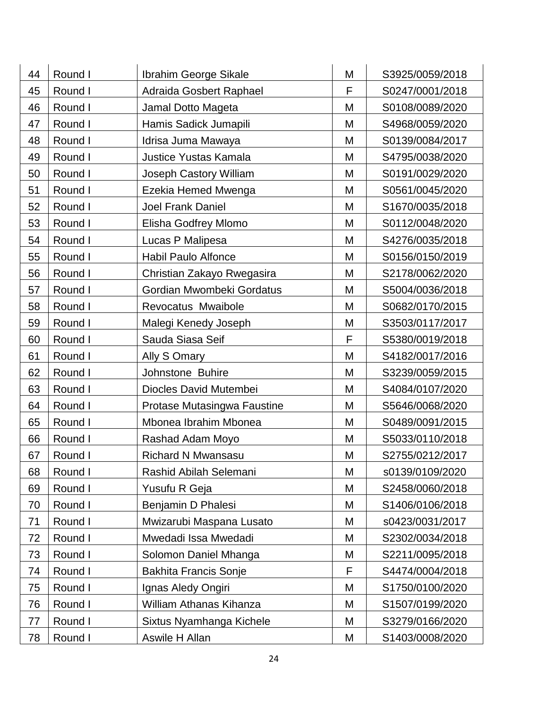| 44 | Round I | Ibrahim George Sikale        | M | S3925/0059/2018 |
|----|---------|------------------------------|---|-----------------|
| 45 | Round I | Adraida Gosbert Raphael      | F | S0247/0001/2018 |
| 46 | Round I | Jamal Dotto Mageta           | M | S0108/0089/2020 |
| 47 | Round I | Hamis Sadick Jumapili        | M | S4968/0059/2020 |
| 48 | Round I | Idrisa Juma Mawaya           | M | S0139/0084/2017 |
| 49 | Round I | <b>Justice Yustas Kamala</b> | M | S4795/0038/2020 |
| 50 | Round I | Joseph Castory William       | M | S0191/0029/2020 |
| 51 | Round I | Ezekia Hemed Mwenga          | M | S0561/0045/2020 |
| 52 | Round I | <b>Joel Frank Daniel</b>     | M | S1670/0035/2018 |
| 53 | Round I | Elisha Godfrey Mlomo         | M | S0112/0048/2020 |
| 54 | Round I | Lucas P Malipesa             | M | S4276/0035/2018 |
| 55 | Round I | <b>Habil Paulo Alfonce</b>   | M | S0156/0150/2019 |
| 56 | Round I | Christian Zakayo Rwegasira   | M | S2178/0062/2020 |
| 57 | Round I | Gordian Mwombeki Gordatus    | M | S5004/0036/2018 |
| 58 | Round I | Revocatus Mwaibole           | M | S0682/0170/2015 |
| 59 | Round I | Malegi Kenedy Joseph         | M | S3503/0117/2017 |
| 60 | Round I | Sauda Siasa Seif             | F | S5380/0019/2018 |
| 61 | Round I | Ally S Omary                 | M | S4182/0017/2016 |
| 62 | Round I | Johnstone Buhire             | M | S3239/0059/2015 |
| 63 | Round I | Diocles David Mutembei       | M | S4084/0107/2020 |
| 64 | Round I | Protase Mutasingwa Faustine  | M | S5646/0068/2020 |
| 65 | Round I | Mbonea Ibrahim Mbonea        | M | S0489/0091/2015 |
| 66 | Round I | Rashad Adam Moyo             | M | S5033/0110/2018 |
| 67 | Round I | <b>Richard N Mwansasu</b>    | M | S2755/0212/2017 |
| 68 | Round I | Rashid Abilah Selemani       | M | s0139/0109/2020 |
| 69 | Round I | Yusufu R Geja                | M | S2458/0060/2018 |
| 70 | Round I | Benjamin D Phalesi           | M | S1406/0106/2018 |
| 71 | Round I | Mwizarubi Maspana Lusato     | M | s0423/0031/2017 |
| 72 | Round I | Mwedadi Issa Mwedadi         | M | S2302/0034/2018 |
| 73 | Round I | Solomon Daniel Mhanga        | M | S2211/0095/2018 |
| 74 | Round I | <b>Bakhita Francis Sonje</b> | F | S4474/0004/2018 |
| 75 | Round I | Ignas Aledy Ongiri           | M | S1750/0100/2020 |
| 76 | Round I | William Athanas Kihanza      | M | S1507/0199/2020 |
| 77 | Round I | Sixtus Nyamhanga Kichele     | M | S3279/0166/2020 |
| 78 | Round I | Aswile H Allan               | Μ | S1403/0008/2020 |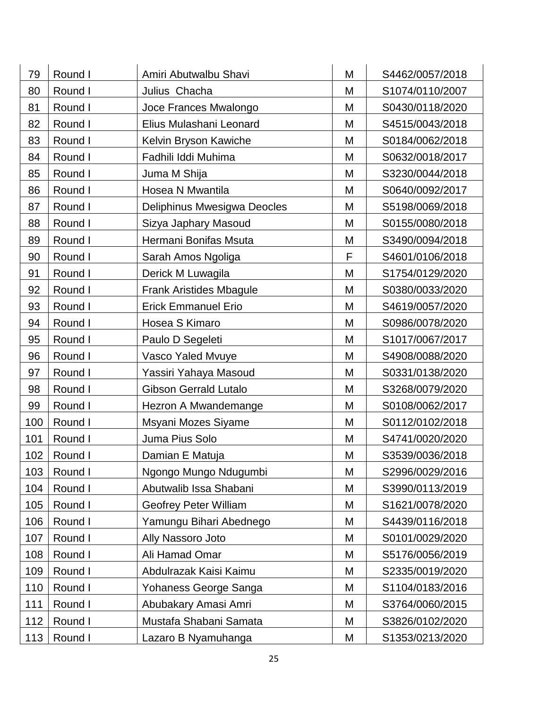| 79  | Round I | Amiri Abutwalbu Shavi        | M | S4462/0057/2018 |
|-----|---------|------------------------------|---|-----------------|
| 80  | Round I | Julius Chacha                | M | S1074/0110/2007 |
| 81  | Round I | Joce Frances Mwalongo        | M | S0430/0118/2020 |
| 82  | Round I | Elius Mulashani Leonard      | M | S4515/0043/2018 |
| 83  | Round I | Kelvin Bryson Kawiche        | M | S0184/0062/2018 |
| 84  | Round I | Fadhili Iddi Muhima          | M | S0632/0018/2017 |
| 85  | Round I | Juma M Shija                 | M | S3230/0044/2018 |
| 86  | Round I | Hosea N Mwantila             | M | S0640/0092/2017 |
| 87  | Round I | Deliphinus Mwesigwa Deocles  | M | S5198/0069/2018 |
| 88  | Round I | Sizya Japhary Masoud         | M | S0155/0080/2018 |
| 89  | Round I | Hermani Bonifas Msuta        | M | S3490/0094/2018 |
| 90  | Round I | Sarah Amos Ngoliga           | F | S4601/0106/2018 |
| 91  | Round I | Derick M Luwagila            | M | S1754/0129/2020 |
| 92  | Round I | Frank Aristides Mbagule      | M | S0380/0033/2020 |
| 93  | Round I | <b>Erick Emmanuel Erio</b>   | M | S4619/0057/2020 |
| 94  | Round I | Hosea S Kimaro               | M | S0986/0078/2020 |
| 95  | Round I | Paulo D Segeleti             | M | S1017/0067/2017 |
| 96  | Round I | Vasco Yaled Mvuye            | M | S4908/0088/2020 |
| 97  | Round I | Yassiri Yahaya Masoud        | M | S0331/0138/2020 |
| 98  | Round I | <b>Gibson Gerrald Lutalo</b> | M | S3268/0079/2020 |
| 99  | Round I | Hezron A Mwandemange         | M | S0108/0062/2017 |
| 100 | Round I | Msyani Mozes Siyame          | M | S0112/0102/2018 |
| 101 | Round I | Juma Pius Solo               | M | S4741/0020/2020 |
| 102 | Round I | Damian E Matuja              | M | S3539/0036/2018 |
| 103 | Round I | Ngongo Mungo Ndugumbi        | M | S2996/0029/2016 |
| 104 | Round I | Abutwalib Issa Shabani       | M | S3990/0113/2019 |
| 105 | Round I | <b>Geofrey Peter William</b> | M | S1621/0078/2020 |
| 106 | Round I | Yamungu Bihari Abednego      | M | S4439/0116/2018 |
| 107 | Round I | Ally Nassoro Joto            | M | S0101/0029/2020 |
| 108 | Round I | Ali Hamad Omar               | M | S5176/0056/2019 |
| 109 | Round I | Abdulrazak Kaisi Kaimu       | M | S2335/0019/2020 |
| 110 | Round I | Yohaness George Sanga        | M | S1104/0183/2016 |
| 111 | Round I | Abubakary Amasi Amri         | M | S3764/0060/2015 |
| 112 | Round I | Mustafa Shabani Samata       | M | S3826/0102/2020 |
| 113 | Round I | Lazaro B Nyamuhanga          | Μ | S1353/0213/2020 |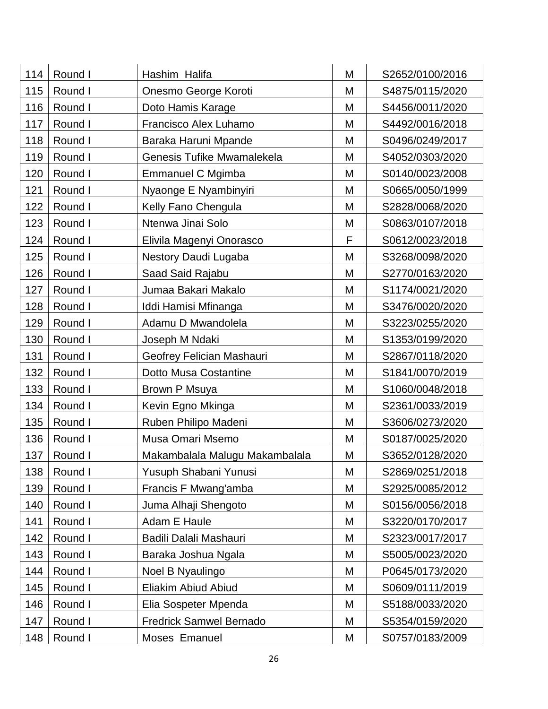| 114 | Round I | Hashim Halifa                  | M | S2652/0100/2016 |
|-----|---------|--------------------------------|---|-----------------|
| 115 | Round I | Onesmo George Koroti           | M | S4875/0115/2020 |
| 116 | Round I | Doto Hamis Karage              | M | S4456/0011/2020 |
| 117 | Round I | <b>Francisco Alex Luhamo</b>   | M | S4492/0016/2018 |
| 118 | Round I | Baraka Haruni Mpande           | M | S0496/0249/2017 |
| 119 | Round I | Genesis Tufike Mwamalekela     | M | S4052/0303/2020 |
| 120 | Round I | Emmanuel C Mgimba              | M | S0140/0023/2008 |
| 121 | Round I | Nyaonge E Nyambinyiri          | M | S0665/0050/1999 |
| 122 | Round I | Kelly Fano Chengula            | M | S2828/0068/2020 |
| 123 | Round I | Ntenwa Jinai Solo              | M | S0863/0107/2018 |
| 124 | Round I | Elivila Magenyi Onorasco       | F | S0612/0023/2018 |
| 125 | Round I | Nestory Daudi Lugaba           | M | S3268/0098/2020 |
| 126 | Round I | Saad Said Rajabu               | M | S2770/0163/2020 |
| 127 | Round I | Jumaa Bakari Makalo            | M | S1174/0021/2020 |
| 128 | Round I | Iddi Hamisi Mfinanga           | M | S3476/0020/2020 |
| 129 | Round I | Adamu D Mwandolela             | M | S3223/0255/2020 |
| 130 | Round I | Joseph M Ndaki                 | M | S1353/0199/2020 |
| 131 | Round I | Geofrey Felician Mashauri      | M | S2867/0118/2020 |
| 132 | Round I | Dotto Musa Costantine          | M | S1841/0070/2019 |
| 133 | Round I | Brown P Msuya                  | M | S1060/0048/2018 |
| 134 | Round I | Kevin Egno Mkinga              | Μ | S2361/0033/2019 |
| 135 | Round I | Ruben Philipo Madeni           | M | S3606/0273/2020 |
| 136 | Round I | Musa Omari Msemo               | M | S0187/0025/2020 |
| 137 | Round I | Makambalala Malugu Makambalala | M | S3652/0128/2020 |
| 138 | Round I | Yusuph Shabani Yunusi          | M | S2869/0251/2018 |
| 139 | Round I | Francis F Mwang'amba           | M | S2925/0085/2012 |
| 140 | Round I | Juma Alhaji Shengoto           | M | S0156/0056/2018 |
| 141 | Round I | Adam E Haule                   | M | S3220/0170/2017 |
| 142 | Round I | Badili Dalali Mashauri         | M | S2323/0017/2017 |
| 143 | Round I | Baraka Joshua Ngala            | M | S5005/0023/2020 |
| 144 | Round I | Noel B Nyaulingo               | M | P0645/0173/2020 |
| 145 | Round I | Eliakim Abiud Abiud            | M | S0609/0111/2019 |
| 146 | Round I | Elia Sospeter Mpenda           | M | S5188/0033/2020 |
| 147 | Round I | <b>Fredrick Samwel Bernado</b> | M | S5354/0159/2020 |
| 148 | Round I | Moses Emanuel                  | Μ | S0757/0183/2009 |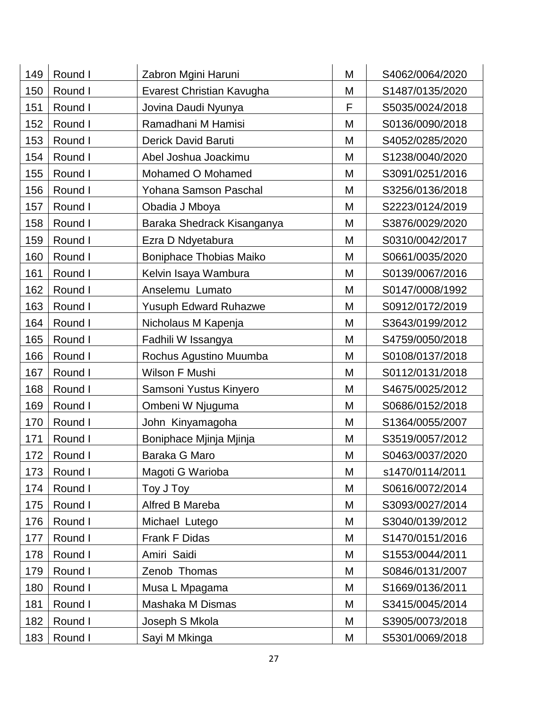| 149 | Round I | Zabron Mgini Haruni          | M | S4062/0064/2020 |
|-----|---------|------------------------------|---|-----------------|
| 150 | Round I | Evarest Christian Kavugha    | M | S1487/0135/2020 |
| 151 | Round I | Jovina Daudi Nyunya          | F | S5035/0024/2018 |
| 152 | Round I | Ramadhani M Hamisi           | M | S0136/0090/2018 |
| 153 | Round I | Derick David Baruti          | M | S4052/0285/2020 |
| 154 | Round I | Abel Joshua Joackimu         | M | S1238/0040/2020 |
| 155 | Round I | Mohamed O Mohamed            | M | S3091/0251/2016 |
| 156 | Round I | Yohana Samson Paschal        | M | S3256/0136/2018 |
| 157 | Round I | Obadia J Mboya               | M | S2223/0124/2019 |
| 158 | Round I | Baraka Shedrack Kisanganya   | M | S3876/0029/2020 |
| 159 | Round I | Ezra D Ndyetabura            | M | S0310/0042/2017 |
| 160 | Round I | Boniphace Thobias Maiko      | M | S0661/0035/2020 |
| 161 | Round I | Kelvin Isaya Wambura         | M | S0139/0067/2016 |
| 162 | Round I | Anselemu Lumato              | M | S0147/0008/1992 |
| 163 | Round I | <b>Yusuph Edward Ruhazwe</b> | M | S0912/0172/2019 |
| 164 | Round I | Nicholaus M Kapenja          | M | S3643/0199/2012 |
| 165 | Round I | Fadhili W Issangya           | M | S4759/0050/2018 |
| 166 | Round I | Rochus Agustino Muumba       | M | S0108/0137/2018 |
| 167 | Round I | Wilson F Mushi               | M | S0112/0131/2018 |
| 168 | Round I | Samsoni Yustus Kinyero       | M | S4675/0025/2012 |
| 169 | Round I | Ombeni W Njuguma             | M | S0686/0152/2018 |
| 170 | Round I | John Kinyamagoha             | M | S1364/0055/2007 |
| 171 | Round I | Boniphace Mjinja Mjinja      | M | S3519/0057/2012 |
| 172 | Round I | Baraka G Maro                | M | S0463/0037/2020 |
| 173 | Round I | Magoti G Warioba             | M | s1470/0114/2011 |
| 174 | Round I | Toy J Toy                    | M | S0616/0072/2014 |
| 175 | Round I | Alfred B Mareba              | M | S3093/0027/2014 |
| 176 | Round I | Michael Lutego               | M | S3040/0139/2012 |
| 177 | Round I | Frank F Didas                | M | S1470/0151/2016 |
| 178 | Round I | Amiri Saidi                  | M | S1553/0044/2011 |
| 179 | Round I | Zenob Thomas                 | M | S0846/0131/2007 |
| 180 | Round I | Musa L Mpagama               | M | S1669/0136/2011 |
| 181 | Round I | Mashaka M Dismas             | M | S3415/0045/2014 |
| 182 | Round I | Joseph S Mkola               | M | S3905/0073/2018 |
| 183 | Round I | Sayi M Mkinga                | Μ | S5301/0069/2018 |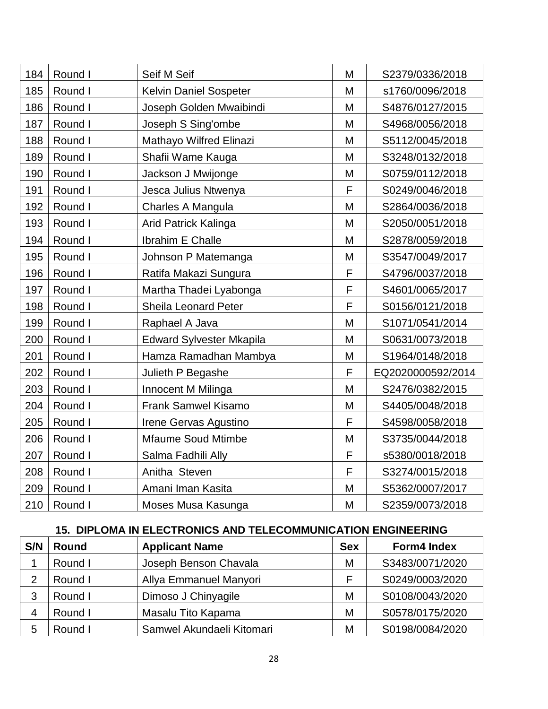| 184 | Round I | Seif M Seif                     | M | S2379/0336/2018   |
|-----|---------|---------------------------------|---|-------------------|
| 185 | Round I | Kelvin Daniel Sospeter          | M | s1760/0096/2018   |
| 186 | Round I | Joseph Golden Mwaibindi         | M | S4876/0127/2015   |
| 187 | Round I | Joseph S Sing'ombe              | M | S4968/0056/2018   |
| 188 | Round I | Mathayo Wilfred Elinazi         | M | S5112/0045/2018   |
| 189 | Round I | Shafii Wame Kauga               | M | S3248/0132/2018   |
| 190 | Round I | Jackson J Mwijonge              | M | S0759/0112/2018   |
| 191 | Round I | Jesca Julius Ntwenya            | F | S0249/0046/2018   |
| 192 | Round I | Charles A Mangula               | M | S2864/0036/2018   |
| 193 | Round I | Arid Patrick Kalinga            | M | S2050/0051/2018   |
| 194 | Round I | Ibrahim E Challe                | M | S2878/0059/2018   |
| 195 | Round I | Johnson P Matemanga             | M | S3547/0049/2017   |
| 196 | Round I | Ratifa Makazi Sungura           | F | S4796/0037/2018   |
| 197 | Round I | Martha Thadei Lyabonga          | F | S4601/0065/2017   |
| 198 | Round I | Sheila Leonard Peter            | F | S0156/0121/2018   |
| 199 | Round I | Raphael A Java                  | M | S1071/0541/2014   |
| 200 | Round I | <b>Edward Sylvester Mkapila</b> | M | S0631/0073/2018   |
| 201 | Round I | Hamza Ramadhan Mambya           | M | S1964/0148/2018   |
| 202 | Round I | Julieth P Begashe               | F | EQ2020000592/2014 |
| 203 | Round I | Innocent M Milinga              | M | S2476/0382/2015   |
| 204 | Round I | <b>Frank Samwel Kisamo</b>      | M | S4405/0048/2018   |
| 205 | Round I | Irene Gervas Agustino           | F | S4598/0058/2018   |
| 206 | Round I | <b>Mfaume Soud Mtimbe</b>       | M | S3735/0044/2018   |
| 207 | Round I | Salma Fadhili Ally              | F | s5380/0018/2018   |
| 208 | Round I | Anitha Steven                   | F | S3274/0015/2018   |
| 209 | Round I | Amani Iman Kasita               | M | S5362/0007/2017   |
| 210 | Round I | Moses Musa Kasunga              | M | S2359/0073/2018   |

# **15. DIPLOMA IN ELECTRONICS AND TELECOMMUNICATION ENGINEERING**

| S/N | <b>Round</b> | <b>Applicant Name</b>     | <b>Sex</b> | <b>Form4 Index</b> |
|-----|--------------|---------------------------|------------|--------------------|
|     | Round I      | Joseph Benson Chavala     | М          | S3483/0071/2020    |
| 2   | Round I      | Allya Emmanuel Manyori    |            | S0249/0003/2020    |
| 3   | Round I      | Dimoso J Chinyagile       | М          | S0108/0043/2020    |
| 4   | Round I      | Masalu Tito Kapama        | М          | S0578/0175/2020    |
| 5   | Round I      | Samwel Akundaeli Kitomari | М          | S0198/0084/2020    |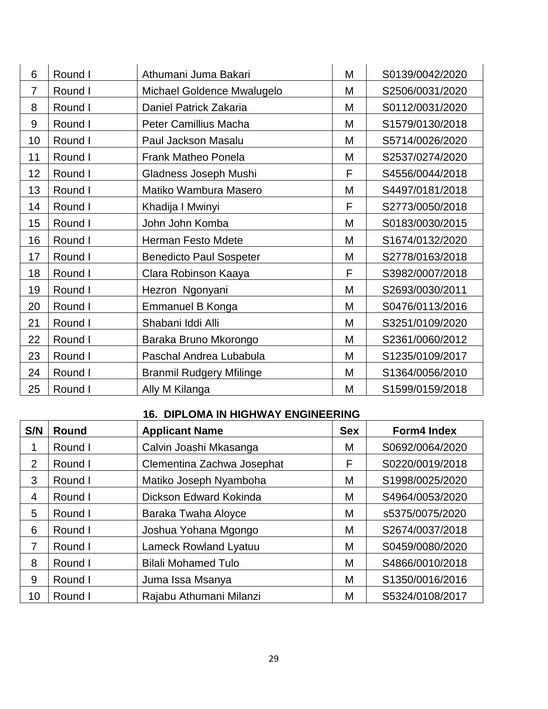| 6              | Round I | Athumani Juma Bakari            | M | S0139/0042/2020 |
|----------------|---------|---------------------------------|---|-----------------|
| $\overline{7}$ | Round I | Michael Goldence Mwalugelo      | M | S2506/0031/2020 |
| 8              | Round I | Daniel Patrick Zakaria          | M | S0112/0031/2020 |
| 9              | Round I | Peter Camillius Macha           | M | S1579/0130/2018 |
| 10             | Round I | Paul Jackson Masalu             | M | S5714/0026/2020 |
| 11             | Round I | <b>Frank Matheo Ponela</b>      | M | S2537/0274/2020 |
| 12             | Round I | Gladness Joseph Mushi           | F | S4556/0044/2018 |
| 13             | Round I | Matiko Wambura Masero           | M | S4497/0181/2018 |
| 14             | Round I | Khadija I Mwinyi                | F | S2773/0050/2018 |
| 15             | Round I | John John Komba                 | M | S0183/0030/2015 |
| 16             | Round I | <b>Herman Festo Mdete</b>       | M | S1674/0132/2020 |
| 17             | Round I | <b>Benedicto Paul Sospeter</b>  | M | S2778/0163/2018 |
| 18             | Round I | Clara Robinson Kaaya            | F | S3982/0007/2018 |
| 19             | Round I | Hezron Ngonyani                 | M | S2693/0030/2011 |
| 20             | Round I | Emmanuel B Konga                | M | S0476/0113/2016 |
| 21             | Round I | Shabani Iddi Alli               | M | S3251/0109/2020 |
| 22             | Round I | Baraka Bruno Mkorongo           | M | S2361/0060/2012 |
| 23             | Round I | Paschal Andrea Lubabula         | M | S1235/0109/2017 |
| 24             | Round I | <b>Branmil Rudgery Mfilinge</b> | M | S1364/0056/2010 |
| 25             | Round I | Ally M Kilanga                  | M | S1599/0159/2018 |

#### **16. DIPLOMA IN HIGHWAY ENGINEERING**

| S/N            | <b>Round</b> | <b>Applicant Name</b>        | <b>Sex</b> | <b>Form4 Index</b> |
|----------------|--------------|------------------------------|------------|--------------------|
|                | Round I      | Calvin Joashi Mkasanga       | M          | S0692/0064/2020    |
| $\overline{2}$ | Round I      | Clementina Zachwa Josephat   | F          | S0220/0019/2018    |
| 3              | Round I      | Matiko Joseph Nyamboha       | M          | S1998/0025/2020    |
| $\overline{4}$ | Round I      | Dickson Edward Kokinda       | M          | S4964/0053/2020    |
| 5              | Round I      | Baraka Twaha Aloyce          | M          | s5375/0075/2020    |
| 6              | Round I      | Joshua Yohana Mgongo         | M          | S2674/0037/2018    |
| 7              | Round I      | <b>Lameck Rowland Lyatuu</b> | M          | S0459/0080/2020    |
| 8              | Round I      | <b>Bilali Mohamed Tulo</b>   | M          | S4866/0010/2018    |
| 9              | Round I      | Juma Issa Msanya             | M          | S1350/0016/2016    |
| 10             | Round I      | Rajabu Athumani Milanzi      | Μ          | S5324/0108/2017    |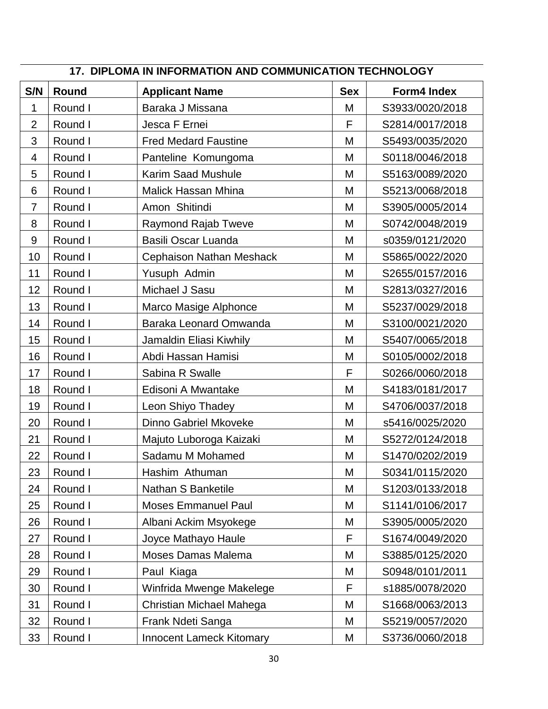|                | 17. DIPLOMA IN INFORMATION AND COMMUNICATION TECHNOLOGY |                                 |            |                 |  |
|----------------|---------------------------------------------------------|---------------------------------|------------|-----------------|--|
| S/N            | Round                                                   | <b>Applicant Name</b>           | <b>Sex</b> | Form4 Index     |  |
| 1              | Round I                                                 | Baraka J Missana                | M          | S3933/0020/2018 |  |
| $\overline{2}$ | Round I                                                 | Jesca F Ernei                   | F          | S2814/0017/2018 |  |
| 3              | Round I                                                 | <b>Fred Medard Faustine</b>     | M          | S5493/0035/2020 |  |
| 4              | Round I                                                 | Panteline Komungoma             | M          | S0118/0046/2018 |  |
| 5              | Round I                                                 | <b>Karim Saad Mushule</b>       | M          | S5163/0089/2020 |  |
| 6              | Round I                                                 | <b>Malick Hassan Mhina</b>      | M          | S5213/0068/2018 |  |
| $\overline{7}$ | Round I                                                 | Amon Shitindi                   | M          | S3905/0005/2014 |  |
| 8              | Round I                                                 | Raymond Rajab Tweve             | M          | S0742/0048/2019 |  |
| $9\,$          | Round I                                                 | Basili Oscar Luanda             | M          | s0359/0121/2020 |  |
| 10             | Round I                                                 | Cephaison Nathan Meshack        | M          | S5865/0022/2020 |  |
| 11             | Round I                                                 | Yusuph Admin                    | M          | S2655/0157/2016 |  |
| 12             | Round I                                                 | Michael J Sasu                  | M          | S2813/0327/2016 |  |
| 13             | Round I                                                 | Marco Masige Alphonce           | M          | S5237/0029/2018 |  |
| 14             | Round I                                                 | Baraka Leonard Omwanda          | M          | S3100/0021/2020 |  |
| 15             | Round I                                                 | Jamaldin Eliasi Kiwhily         | M          | S5407/0065/2018 |  |
| 16             | Round I                                                 | Abdi Hassan Hamisi              | M          | S0105/0002/2018 |  |
| 17             | Round I                                                 | Sabina R Swalle                 | F          | S0266/0060/2018 |  |
| 18             | Round I                                                 | Edisoni A Mwantake              | M          | S4183/0181/2017 |  |
| 19             | Round I                                                 | Leon Shiyo Thadey               | M          | S4706/0037/2018 |  |
| 20             | Round I                                                 | Dinno Gabriel Mkoveke           | M          | s5416/0025/2020 |  |
| 21             | Round I                                                 | Majuto Luboroga Kaizaki         | M          | S5272/0124/2018 |  |
| 22             | Round I                                                 | Sadamu M Mohamed                | M          | S1470/0202/2019 |  |
| 23             | Round I                                                 | Hashim Athuman                  | M          | S0341/0115/2020 |  |
| 24             | Round I                                                 | Nathan S Banketile              | M          | S1203/0133/2018 |  |
| 25             | Round I                                                 | <b>Moses Emmanuel Paul</b>      | Μ          | S1141/0106/2017 |  |
| 26             | Round I                                                 | Albani Ackim Msyokege           | M          | S3905/0005/2020 |  |
| 27             | Round I                                                 | Joyce Mathayo Haule             | F          | S1674/0049/2020 |  |
| 28             | Round I                                                 | Moses Damas Malema              | M          | S3885/0125/2020 |  |
| 29             | Round I                                                 | Paul Kiaga                      | M          | S0948/0101/2011 |  |
| 30             | Round I                                                 | Winfrida Mwenge Makelege        | F          | s1885/0078/2020 |  |
| 31             | Round I                                                 | Christian Michael Mahega        | Μ          | S1668/0063/2013 |  |
| 32             | Round I                                                 | Frank Ndeti Sanga               | Μ          | S5219/0057/2020 |  |
| 33             | Round I                                                 | <b>Innocent Lameck Kitomary</b> | Μ          | S3736/0060/2018 |  |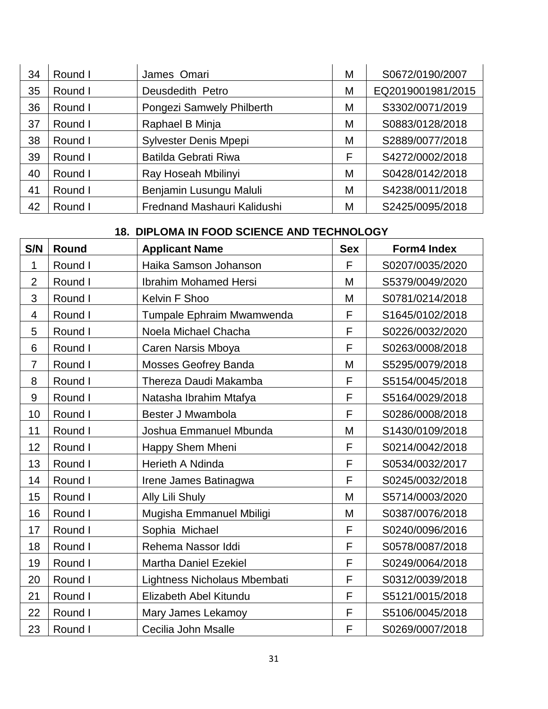| 34 | Round I | James Omari                 | М | S0672/0190/2007   |
|----|---------|-----------------------------|---|-------------------|
| 35 | Round I | Deusdedith Petro            | М | EQ2019001981/2015 |
| 36 | Round I | Pongezi Samwely Philberth   | Μ | S3302/0071/2019   |
| 37 | Round I | Raphael B Minja             | M | S0883/0128/2018   |
| 38 | Round I | Sylvester Denis Mpepi       | М | S2889/0077/2018   |
| 39 | Round I | Batilda Gebrati Riwa        | F | S4272/0002/2018   |
| 40 | Round I | Ray Hoseah Mbilinyi         | M | S0428/0142/2018   |
| 41 | Round I | Benjamin Lusungu Maluli     | М | S4238/0011/2018   |
| 42 | Round I | Frednand Mashauri Kalidushi | М | S2425/0095/2018   |

# **18. DIPLOMA IN FOOD SCIENCE AND TECHNOLOGY**

| S/N              | <b>Round</b> | <b>Applicant Name</b>        | <b>Sex</b> | <b>Form4 Index</b> |
|------------------|--------------|------------------------------|------------|--------------------|
| 1                | Round I      | Haika Samson Johanson        | F          | S0207/0035/2020    |
| $\overline{2}$   | Round I      | <b>Ibrahim Mohamed Hersi</b> | M          | S5379/0049/2020    |
| 3                | Round I      | Kelvin F Shoo                | M          | S0781/0214/2018    |
| 4                | Round I      | Tumpale Ephraim Mwamwenda    | F          | S1645/0102/2018    |
| 5                | Round I      | Noela Michael Chacha         | F          | S0226/0032/2020    |
| 6                | Round I      | Caren Narsis Mboya           | F          | S0263/0008/2018    |
| $\overline{7}$   | Round I      | <b>Mosses Geofrey Banda</b>  | M          | S5295/0079/2018    |
| 8                | Round I      | Thereza Daudi Makamba        | F          | S5154/0045/2018    |
| $\boldsymbol{9}$ | Round I      | Natasha Ibrahim Mtafya       | F          | S5164/0029/2018    |
| 10               | Round I      | Bester J Mwambola            | F          | S0286/0008/2018    |
| 11               | Round I      | Joshua Emmanuel Mbunda       | M          | S1430/0109/2018    |
| 12               | Round I      | Happy Shem Mheni             | F          | S0214/0042/2018    |
| 13               | Round I      | Herieth A Ndinda             | F          | S0534/0032/2017    |
| 14               | Round I      | Irene James Batinagwa        | F          | S0245/0032/2018    |
| 15               | Round I      | Ally Lili Shuly              | M          | S5714/0003/2020    |
| 16               | Round I      | Mugisha Emmanuel Mbiligi     | M          | S0387/0076/2018    |
| 17               | Round I      | Sophia Michael               | F          | S0240/0096/2016    |
| 18               | Round I      | Rehema Nassor Iddi           | F          | S0578/0087/2018    |
| 19               | Round I      | <b>Martha Daniel Ezekiel</b> | F          | S0249/0064/2018    |
| 20               | Round I      | Lightness Nicholaus Mbembati | F          | S0312/0039/2018    |
| 21               | Round I      | Elizabeth Abel Kitundu       | F          | S5121/0015/2018    |
| 22               | Round I      | Mary James Lekamoy           | F          | S5106/0045/2018    |
| 23               | Round I      | Cecilia John Msalle          | F          | S0269/0007/2018    |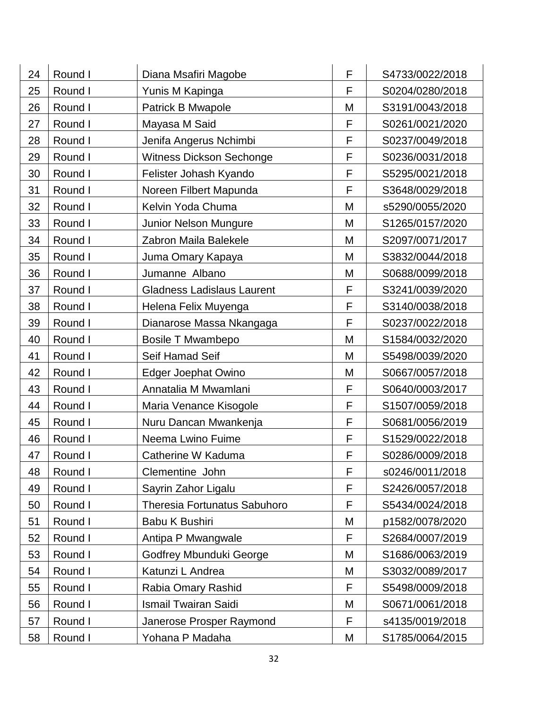| 24 | Round I | Diana Msafiri Magobe              | F | S4733/0022/2018 |
|----|---------|-----------------------------------|---|-----------------|
| 25 | Round I | Yunis M Kapinga                   | F | S0204/0280/2018 |
| 26 | Round I | Patrick B Mwapole                 | M | S3191/0043/2018 |
| 27 | Round I | Mayasa M Said                     | F | S0261/0021/2020 |
| 28 | Round I | Jenifa Angerus Nchimbi            | F | S0237/0049/2018 |
| 29 | Round I | <b>Witness Dickson Sechonge</b>   | F | S0236/0031/2018 |
| 30 | Round I | Felister Johash Kyando            | F | S5295/0021/2018 |
| 31 | Round I | Noreen Filbert Mapunda            | F | S3648/0029/2018 |
| 32 | Round I | Kelvin Yoda Chuma                 | M | s5290/0055/2020 |
| 33 | Round I | Junior Nelson Mungure             | M | S1265/0157/2020 |
| 34 | Round I | Zabron Maila Balekele             | M | S2097/0071/2017 |
| 35 | Round I | Juma Omary Kapaya                 | M | S3832/0044/2018 |
| 36 | Round I | Jumanne Albano                    | M | S0688/0099/2018 |
| 37 | Round I | <b>Gladness Ladislaus Laurent</b> | F | S3241/0039/2020 |
| 38 | Round I | Helena Felix Muyenga              | F | S3140/0038/2018 |
| 39 | Round I | Dianarose Massa Nkangaga          | F | S0237/0022/2018 |
| 40 | Round I | <b>Bosile T Mwambepo</b>          | M | S1584/0032/2020 |
| 41 | Round I | Seif Hamad Seif                   | M | S5498/0039/2020 |
| 42 | Round I | <b>Edger Joephat Owino</b>        | M | S0667/0057/2018 |
| 43 | Round I | Annatalia M Mwamlani              | F | S0640/0003/2017 |
| 44 | Round I | Maria Venance Kisogole            | F | S1507/0059/2018 |
| 45 | Round I | Nuru Dancan Mwankenja             | F | S0681/0056/2019 |
| 46 | Round I | Neema Lwino Fuime                 | F | S1529/0022/2018 |
| 47 | Round I | Catherine W Kaduma                | F | S0286/0009/2018 |
| 48 | Round I | Clementine John                   | F | s0246/0011/2018 |
| 49 | Round I | Sayrin Zahor Ligalu               | F | S2426/0057/2018 |
| 50 | Round I | Theresia Fortunatus Sabuhoro      | F | S5434/0024/2018 |
| 51 | Round I | Babu K Bushiri                    | M | p1582/0078/2020 |
| 52 | Round I | Antipa P Mwangwale                | F | S2684/0007/2019 |
| 53 | Round I | Godfrey Mbunduki George           | M | S1686/0063/2019 |
| 54 | Round I | Katunzi L Andrea                  | M | S3032/0089/2017 |
| 55 | Round I | Rabia Omary Rashid                | F | S5498/0009/2018 |
| 56 | Round I | <b>Ismail Twairan Saidi</b>       | M | S0671/0061/2018 |
| 57 | Round I | Janerose Prosper Raymond          | F | s4135/0019/2018 |
| 58 | Round I | Yohana P Madaha                   | М | S1785/0064/2015 |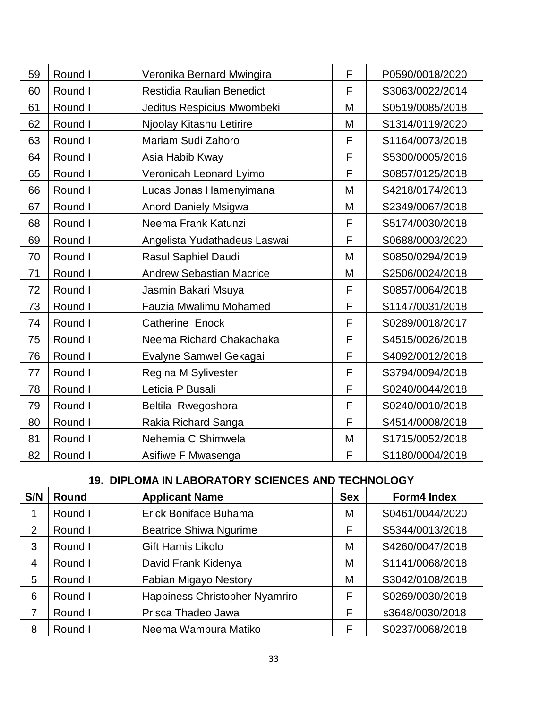| 59 | Round I | Veronika Bernard Mwingira       | F | P0590/0018/2020 |
|----|---------|---------------------------------|---|-----------------|
| 60 | Round I | Restidia Raulian Benedict       | F | S3063/0022/2014 |
| 61 | Round I | Jeditus Respicius Mwombeki      | M | S0519/0085/2018 |
| 62 | Round I | Njoolay Kitashu Letirire        | M | S1314/0119/2020 |
| 63 | Round I | Mariam Sudi Zahoro              | F | S1164/0073/2018 |
| 64 | Round I | Asia Habib Kway                 | F | S5300/0005/2016 |
| 65 | Round I | Veronicah Leonard Lyimo         | F | S0857/0125/2018 |
| 66 | Round I | Lucas Jonas Hamenyimana         | M | S4218/0174/2013 |
| 67 | Round I | <b>Anord Daniely Msigwa</b>     | M | S2349/0067/2018 |
| 68 | Round I | Neema Frank Katunzi             | F | S5174/0030/2018 |
| 69 | Round I | Angelista Yudathadeus Laswai    | F | S0688/0003/2020 |
| 70 | Round I | Rasul Saphiel Daudi             | M | S0850/0294/2019 |
| 71 | Round I | <b>Andrew Sebastian Macrice</b> | M | S2506/0024/2018 |
| 72 | Round I | Jasmin Bakari Msuya             | F | S0857/0064/2018 |
| 73 | Round I | Fauzia Mwalimu Mohamed          | F | S1147/0031/2018 |
| 74 | Round I | <b>Catherine Enock</b>          | F | S0289/0018/2017 |
| 75 | Round I | Neema Richard Chakachaka        | F | S4515/0026/2018 |
| 76 | Round I | Evalyne Samwel Gekagai          | F | S4092/0012/2018 |
| 77 | Round I | Regina M Sylivester             | F | S3794/0094/2018 |
| 78 | Round I | Leticia P Busali                | F | S0240/0044/2018 |
| 79 | Round I | Beltila Rwegoshora              | F | S0240/0010/2018 |
| 80 | Round I | Rakia Richard Sanga             | F | S4514/0008/2018 |
| 81 | Round I | Nehemia C Shimwela              | M | S1715/0052/2018 |
| 82 | Round I | Asifiwe F Mwasenga              | F | S1180/0004/2018 |

# **19. DIPLOMA IN LABORATORY SCIENCES AND TECHNOLOGY**

| S/N | <b>Round</b> | <b>Applicant Name</b>          | <b>Sex</b> | <b>Form4 Index</b> |
|-----|--------------|--------------------------------|------------|--------------------|
|     | Round I      | Erick Boniface Buhama          | M          | S0461/0044/2020    |
| 2   | Round I      | <b>Beatrice Shiwa Ngurime</b>  | F          | S5344/0013/2018    |
| 3   | Round I      | Gift Hamis Likolo              | M          | S4260/0047/2018    |
| 4   | Round I      | David Frank Kidenya            | M          | S1141/0068/2018    |
| 5   | Round I      | Fabian Migayo Nestory          | M          | S3042/0108/2018    |
| 6   | Round I      | Happiness Christopher Nyamriro | F          | S0269/0030/2018    |
| 7   | Round I      | Prisca Thadeo Jawa             | F          | s3648/0030/2018    |
| 8   | Round I      | Neema Wambura Matiko           | F          | S0237/0068/2018    |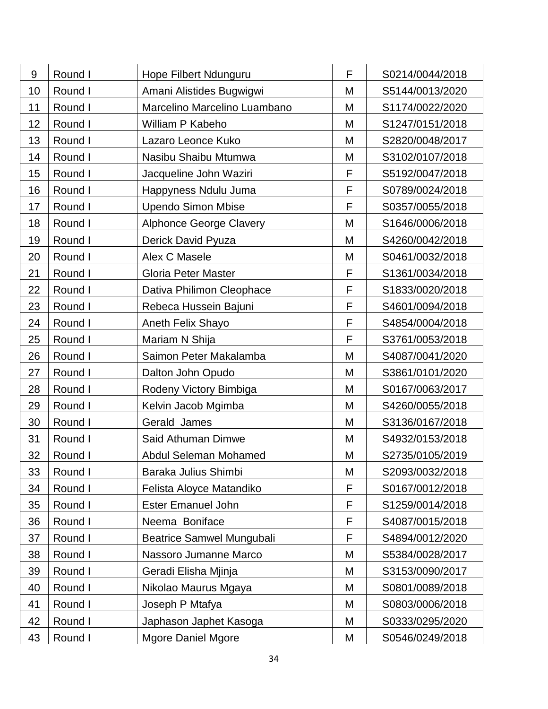| 9  | Round I | Hope Filbert Ndunguru            | F | S0214/0044/2018 |
|----|---------|----------------------------------|---|-----------------|
| 10 | Round I | Amani Alistides Bugwigwi         | M | S5144/0013/2020 |
| 11 | Round I | Marcelino Marcelino Luambano     | M | S1174/0022/2020 |
| 12 | Round I | William P Kabeho                 | M | S1247/0151/2018 |
| 13 | Round I | Lazaro Leonce Kuko               | M | S2820/0048/2017 |
| 14 | Round I | Nasibu Shaibu Mtumwa             | M | S3102/0107/2018 |
| 15 | Round I | Jacqueline John Waziri           | F | S5192/0047/2018 |
| 16 | Round I | Happyness Ndulu Juma             | F | S0789/0024/2018 |
| 17 | Round I | <b>Upendo Simon Mbise</b>        | F | S0357/0055/2018 |
| 18 | Round I | <b>Alphonce George Clavery</b>   | M | S1646/0006/2018 |
| 19 | Round I | Derick David Pyuza               | M | S4260/0042/2018 |
| 20 | Round I | Alex C Masele                    | M | S0461/0032/2018 |
| 21 | Round I | <b>Gloria Peter Master</b>       | F | S1361/0034/2018 |
| 22 | Round I | Dativa Philimon Cleophace        | F | S1833/0020/2018 |
| 23 | Round I | Rebeca Hussein Bajuni            | F | S4601/0094/2018 |
| 24 | Round I | Aneth Felix Shayo                | F | S4854/0004/2018 |
| 25 | Round I | Mariam N Shija                   | F | S3761/0053/2018 |
| 26 | Round I | Saimon Peter Makalamba           | M | S4087/0041/2020 |
| 27 | Round I | Dalton John Opudo                | M | S3861/0101/2020 |
| 28 | Round I | Rodeny Victory Bimbiga           | M | S0167/0063/2017 |
| 29 | Round I | Kelvin Jacob Mgimba              | M | S4260/0055/2018 |
| 30 | Round I | Gerald James                     | M | S3136/0167/2018 |
| 31 | Round I | Said Athuman Dimwe               | M | S4932/0153/2018 |
| 32 | Round I | Abdul Seleman Mohamed            | M | S2735/0105/2019 |
| 33 | Round I | Baraka Julius Shimbi             | M | S2093/0032/2018 |
| 34 | Round I | Felista Aloyce Matandiko         | F | S0167/0012/2018 |
| 35 | Round I | <b>Ester Emanuel John</b>        | F | S1259/0014/2018 |
| 36 | Round I | Neema Boniface                   | F | S4087/0015/2018 |
| 37 | Round I | <b>Beatrice Samwel Mungubali</b> | F | S4894/0012/2020 |
| 38 | Round I | Nassoro Jumanne Marco            | M | S5384/0028/2017 |
| 39 | Round I | Geradi Elisha Mjinja             | M | S3153/0090/2017 |
| 40 | Round I | Nikolao Maurus Mgaya             | M | S0801/0089/2018 |
| 41 | Round I | Joseph P Mtafya                  | M | S0803/0006/2018 |
| 42 | Round I | Japhason Japhet Kasoga           | Μ | S0333/0295/2020 |
| 43 | Round I | <b>Mgore Daniel Mgore</b>        | М | S0546/0249/2018 |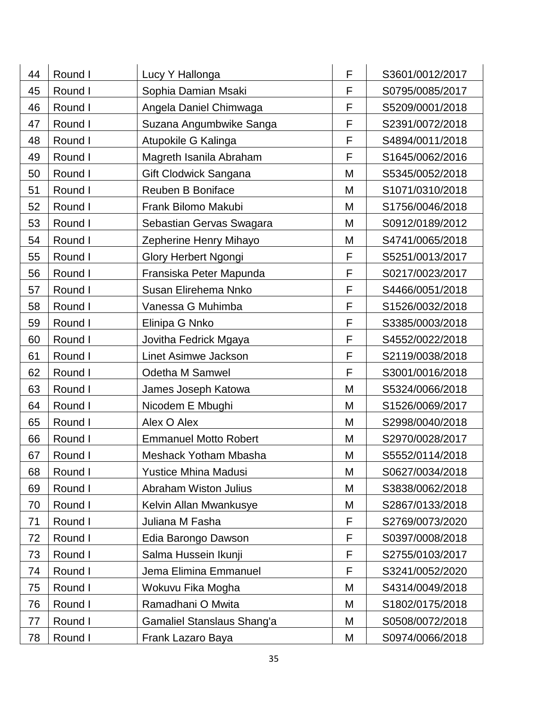| 44 | Round I | Lucy Y Hallonga              | F | S3601/0012/2017 |
|----|---------|------------------------------|---|-----------------|
| 45 | Round I | Sophia Damian Msaki          | F | S0795/0085/2017 |
| 46 | Round I | Angela Daniel Chimwaga       | F | S5209/0001/2018 |
| 47 | Round I | Suzana Angumbwike Sanga      | F | S2391/0072/2018 |
| 48 | Round I | Atupokile G Kalinga          | F | S4894/0011/2018 |
| 49 | Round I | Magreth Isanila Abraham      | F | S1645/0062/2016 |
| 50 | Round I | Gift Clodwick Sangana        | M | S5345/0052/2018 |
| 51 | Round I | Reuben B Boniface            | M | S1071/0310/2018 |
| 52 | Round I | Frank Bilomo Makubi          | M | S1756/0046/2018 |
| 53 | Round I | Sebastian Gervas Swagara     | M | S0912/0189/2012 |
| 54 | Round I | Zepherine Henry Mihayo       | M | S4741/0065/2018 |
| 55 | Round I | Glory Herbert Ngongi         | F | S5251/0013/2017 |
| 56 | Round I | Fransiska Peter Mapunda      | F | S0217/0023/2017 |
| 57 | Round I | Susan Elirehema Nnko         | F | S4466/0051/2018 |
| 58 | Round I | Vanessa G Muhimba            | F | S1526/0032/2018 |
| 59 | Round I | Elinipa G Nnko               | F | S3385/0003/2018 |
| 60 | Round I | Jovitha Fedrick Mgaya        | F | S4552/0022/2018 |
| 61 | Round I | Linet Asimwe Jackson         | F | S2119/0038/2018 |
| 62 | Round I | Odetha M Samwel              | F | S3001/0016/2018 |
| 63 | Round I | James Joseph Katowa          | M | S5324/0066/2018 |
| 64 | Round I | Nicodem E Mbughi             | M | S1526/0069/2017 |
| 65 | Round I | Alex O Alex                  | M | S2998/0040/2018 |
| 66 | Round I | <b>Emmanuel Motto Robert</b> | M | S2970/0028/2017 |
| 67 | Round I | Meshack Yotham Mbasha        | M | S5552/0114/2018 |
| 68 | Round I | <b>Yustice Mhina Madusi</b>  | M | S0627/0034/2018 |
| 69 | Round I | <b>Abraham Wiston Julius</b> | M | S3838/0062/2018 |
| 70 | Round I | Kelvin Allan Mwankusye       | M | S2867/0133/2018 |
| 71 | Round I | Juliana M Fasha              | F | S2769/0073/2020 |
| 72 | Round I | Edia Barongo Dawson          | F | S0397/0008/2018 |
| 73 | Round I | Salma Hussein Ikunji         | F | S2755/0103/2017 |
| 74 | Round I | Jema Elimina Emmanuel        | F | S3241/0052/2020 |
| 75 | Round I | Wokuvu Fika Mogha            | M | S4314/0049/2018 |
| 76 | Round I | Ramadhani O Mwita            | M | S1802/0175/2018 |
| 77 | Round I | Gamaliel Stanslaus Shang'a   | M | S0508/0072/2018 |
| 78 | Round I | Frank Lazaro Baya            | Μ | S0974/0066/2018 |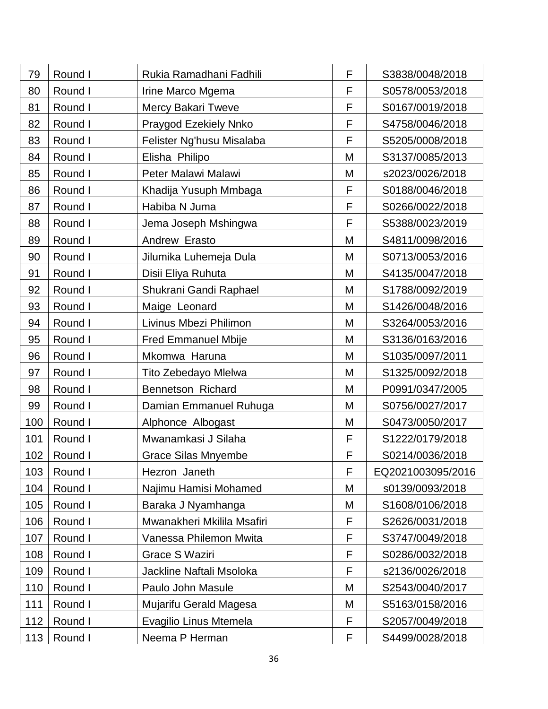| 79  | Round I | Rukia Ramadhani Fadhili      | F | S3838/0048/2018   |
|-----|---------|------------------------------|---|-------------------|
| 80  | Round I | Irine Marco Mgema            | F | S0578/0053/2018   |
| 81  | Round I | Mercy Bakari Tweve           | F | S0167/0019/2018   |
| 82  | Round I | <b>Praygod Ezekiely Nnko</b> | F | S4758/0046/2018   |
| 83  | Round I | Felister Ng'husu Misalaba    | F | S5205/0008/2018   |
| 84  | Round I | Elisha Philipo               | M | S3137/0085/2013   |
| 85  | Round I | Peter Malawi Malawi          | M | s2023/0026/2018   |
| 86  | Round I | Khadija Yusuph Mmbaga        | F | S0188/0046/2018   |
| 87  | Round I | Habiba N Juma                | F | S0266/0022/2018   |
| 88  | Round I | Jema Joseph Mshingwa         | F | S5388/0023/2019   |
| 89  | Round I | Andrew Erasto                | M | S4811/0098/2016   |
| 90  | Round I | Jilumika Luhemeja Dula       | M | S0713/0053/2016   |
| 91  | Round I | Disii Eliya Ruhuta           | M | S4135/0047/2018   |
| 92  | Round I | Shukrani Gandi Raphael       | M | S1788/0092/2019   |
| 93  | Round I | Maige Leonard                | M | S1426/0048/2016   |
| 94  | Round I | Livinus Mbezi Philimon       | M | S3264/0053/2016   |
| 95  | Round I | <b>Fred Emmanuel Mbije</b>   | M | S3136/0163/2016   |
| 96  | Round I | Mkomwa Haruna                | M | S1035/0097/2011   |
| 97  | Round I | Tito Zebedayo Mlelwa         | M | S1325/0092/2018   |
| 98  | Round I | Bennetson Richard            | M | P0991/0347/2005   |
| 99  | Round I | Damian Emmanuel Ruhuga       | M | S0756/0027/2017   |
| 100 | Round I | Alphonce Albogast            | M | S0473/0050/2017   |
| 101 | Round I | Mwanamkasi J Silaha          | F | S1222/0179/2018   |
| 102 | Round I | <b>Grace Silas Mnyembe</b>   | F | S0214/0036/2018   |
| 103 | Round I | Hezron Janeth                | F | EQ2021003095/2016 |
| 104 | Round I | Najimu Hamisi Mohamed        | M | s0139/0093/2018   |
| 105 | Round I | Baraka J Nyamhanga           | M | S1608/0106/2018   |
| 106 | Round I | Mwanakheri Mkilila Msafiri   | F | S2626/0031/2018   |
| 107 | Round I | Vanessa Philemon Mwita       | F | S3747/0049/2018   |
| 108 | Round I | Grace S Waziri               | F | S0286/0032/2018   |
| 109 | Round I | Jackline Naftali Msoloka     | F | s2136/0026/2018   |
| 110 | Round I | Paulo John Masule            | M | S2543/0040/2017   |
| 111 | Round I | Mujarifu Gerald Magesa       | M | S5163/0158/2016   |
| 112 | Round I | Evagilio Linus Mtemela       | F | S2057/0049/2018   |
| 113 | Round I | Neema P Herman               | F | S4499/0028/2018   |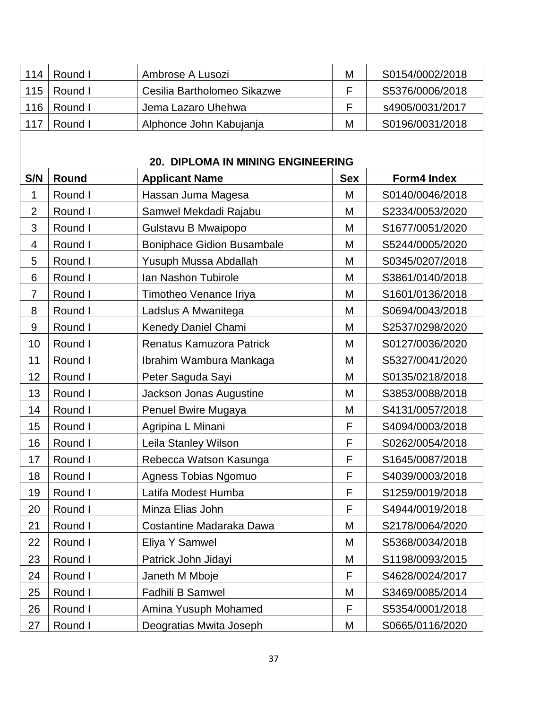| 114            | Round I | Ambrose A Lusozi                  | M          | S0154/0002/2018 |
|----------------|---------|-----------------------------------|------------|-----------------|
| 115            | Round I | Cesilia Bartholomeo Sikazwe       | F          | S5376/0006/2018 |
| 116            | Round I | Jema Lazaro Uhehwa                | F          | s4905/0031/2017 |
| 117            | Round I | Alphonce John Kabujanja           | M          | S0196/0031/2018 |
|                |         |                                   |            |                 |
|                |         | 20. DIPLOMA IN MINING ENGINEERING |            |                 |
| S/N            | Round   | <b>Applicant Name</b>             | <b>Sex</b> | Form4 Index     |
| $\mathbf 1$    | Round I | Hassan Juma Magesa                | M          | S0140/0046/2018 |
| $\overline{2}$ | Round I | Samwel Mekdadi Rajabu             | M          | S2334/0053/2020 |
| 3              | Round I | Gulstavu B Mwaipopo               | M          | S1677/0051/2020 |
| 4              | Round I | <b>Boniphace Gidion Busambale</b> | M          | S5244/0005/2020 |
| 5              | Round I | Yusuph Mussa Abdallah             | M          | S0345/0207/2018 |
| 6              | Round I | Ian Nashon Tubirole               | M          | S3861/0140/2018 |
| $\overline{7}$ | Round I | Timotheo Venance Iriya            | M          | S1601/0136/2018 |
| 8              | Round I | Ladslus A Mwanitega               | M          | S0694/0043/2018 |
| 9              | Round I | Kenedy Daniel Chami               | M          | S2537/0298/2020 |
| 10             | Round I | Renatus Kamuzora Patrick          | M          | S0127/0036/2020 |
| 11             | Round I | Ibrahim Wambura Mankaga           | M          | S5327/0041/2020 |
| 12             | Round I | Peter Saguda Sayi                 | M          | S0135/0218/2018 |
| 13             | Round I | Jackson Jonas Augustine           | M          | S3853/0088/2018 |
| 14             | Round I | Penuel Bwire Mugaya               | M          | S4131/0057/2018 |
| 15             | Round I | Agripina L Minani                 | F          | S4094/0003/2018 |
| 16             | Round I | Leila Stanley Wilson              | F          | S0262/0054/2018 |
| 17             | Round I | Rebecca Watson Kasunga            | F          | S1645/0087/2018 |
| 18             | Round I | Agness Tobias Ngomuo              | F          | S4039/0003/2018 |
| 19             | Round I | Latifa Modest Humba               | F          | S1259/0019/2018 |
| 20             | Round I | Minza Elias John                  | F          | S4944/0019/2018 |
| 21             | Round I | Costantine Madaraka Dawa          | M          | S2178/0064/2020 |
| 22             | Round I | Eliya Y Samwel                    | M          | S5368/0034/2018 |
| 23             | Round I | Patrick John Jidayi               | M          | S1198/0093/2015 |
| 24             | Round I | Janeth M Mboje                    | F          | S4628/0024/2017 |
| 25             | Round I | Fadhili B Samwel                  | M          | S3469/0085/2014 |
| 26             | Round I | Amina Yusuph Mohamed              | F          | S5354/0001/2018 |
| 27             | Round I | Deogratias Mwita Joseph           | Μ          | S0665/0116/2020 |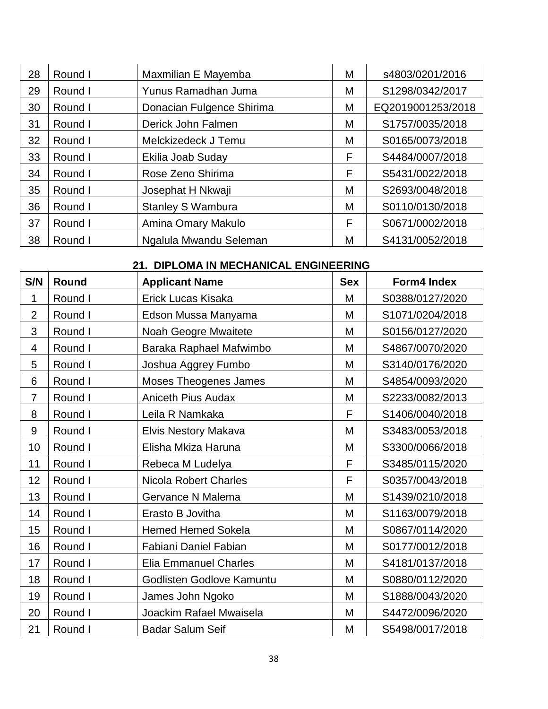| 28 | Round I | Maxmilian E Mayemba       | М | s4803/0201/2016   |
|----|---------|---------------------------|---|-------------------|
| 29 | Round I | Yunus Ramadhan Juma       | Μ | S1298/0342/2017   |
| 30 | Round I | Donacian Fulgence Shirima | M | EQ2019001253/2018 |
| 31 | Round I | Derick John Falmen        | Μ | S1757/0035/2018   |
| 32 | Round I | Melckizedeck J Temu       | M | S0165/0073/2018   |
| 33 | Round I | Ekilia Joab Suday         | F | S4484/0007/2018   |
| 34 | Round I | Rose Zeno Shirima         | F | S5431/0022/2018   |
| 35 | Round I | Josephat H Nkwaji         | M | S2693/0048/2018   |
| 36 | Round I | <b>Stanley S Wambura</b>  | М | S0110/0130/2018   |
| 37 | Round I | Amina Omary Makulo        | F | S0671/0002/2018   |
| 38 | Round I | Ngalula Mwandu Seleman    | М | S4131/0052/2018   |

|  |  | 21. DIPLOMA IN MECHANICAL ENGINEERING |  |
|--|--|---------------------------------------|--|
|--|--|---------------------------------------|--|

| S/N                      | Round   | <b>Applicant Name</b>        | <b>Sex</b> | <b>Form4 Index</b> |
|--------------------------|---------|------------------------------|------------|--------------------|
| 1                        | Round I | Erick Lucas Kisaka           | M          | S0388/0127/2020    |
| $\overline{2}$           | Round I | Edson Mussa Manyama          | M          | S1071/0204/2018    |
| 3                        | Round I | Noah Geogre Mwaitete         | M          | S0156/0127/2020    |
| $\overline{\mathcal{A}}$ | Round I | Baraka Raphael Mafwimbo      | M          | S4867/0070/2020    |
| 5                        | Round I | Joshua Aggrey Fumbo          | M          | S3140/0176/2020    |
| 6                        | Round I | <b>Moses Theogenes James</b> | M          | S4854/0093/2020    |
| $\overline{7}$           | Round I | <b>Aniceth Pius Audax</b>    | M          | S2233/0082/2013    |
| 8                        | Round I | Leila R Namkaka              | F          | S1406/0040/2018    |
| 9                        | Round I | Elvis Nestory Makava         | M          | S3483/0053/2018    |
| 10                       | Round I | Elisha Mkiza Haruna          | M          | S3300/0066/2018    |
| 11                       | Round I | Rebeca M Ludelya             | F          | S3485/0115/2020    |
| 12                       | Round I | <b>Nicola Robert Charles</b> | F          | S0357/0043/2018    |
| 13                       | Round I | Gervance N Malema            | M          | S1439/0210/2018    |
| 14                       | Round I | Erasto B Jovitha             | M          | S1163/0079/2018    |
| 15                       | Round I | <b>Hemed Hemed Sokela</b>    | M          | S0867/0114/2020    |
| 16                       | Round I | Fabiani Daniel Fabian        | M          | S0177/0012/2018    |
| 17                       | Round I | <b>Elia Emmanuel Charles</b> | M          | S4181/0137/2018    |
| 18                       | Round I | Godlisten Godlove Kamuntu    | M          | S0880/0112/2020    |
| 19                       | Round I | James John Ngoko             | M          | S1888/0043/2020    |
| 20                       | Round I | Joackim Rafael Mwaisela      | M          | S4472/0096/2020    |
| 21                       | Round I | <b>Badar Salum Seif</b>      | M          | S5498/0017/2018    |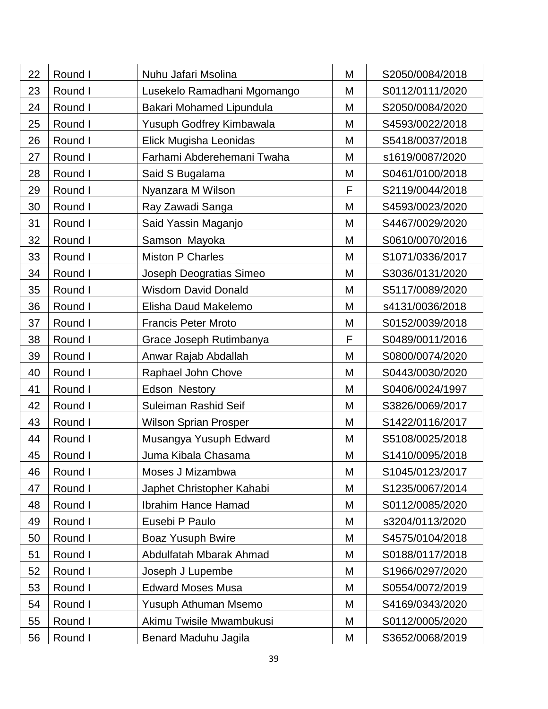| 22 | Round I | Nuhu Jafari Msolina          | M | S2050/0084/2018 |
|----|---------|------------------------------|---|-----------------|
| 23 | Round I | Lusekelo Ramadhani Mgomango  | M | S0112/0111/2020 |
| 24 | Round I | Bakari Mohamed Lipundula     | M | S2050/0084/2020 |
| 25 | Round I | Yusuph Godfrey Kimbawala     | M | S4593/0022/2018 |
| 26 | Round I | Elick Mugisha Leonidas       | M | S5418/0037/2018 |
| 27 | Round I | Farhami Abderehemani Twaha   | M | s1619/0087/2020 |
| 28 | Round I | Said S Bugalama              | M | S0461/0100/2018 |
| 29 | Round I | Nyanzara M Wilson            | F | S2119/0044/2018 |
| 30 | Round I | Ray Zawadi Sanga             | M | S4593/0023/2020 |
| 31 | Round I | Said Yassin Maganjo          | M | S4467/0029/2020 |
| 32 | Round I | Samson Mayoka                | M | S0610/0070/2016 |
| 33 | Round I | <b>Miston P Charles</b>      | M | S1071/0336/2017 |
| 34 | Round I | Joseph Deogratias Simeo      | M | S3036/0131/2020 |
| 35 | Round I | <b>Wisdom David Donald</b>   | M | S5117/0089/2020 |
| 36 | Round I | Elisha Daud Makelemo         | M | s4131/0036/2018 |
| 37 | Round I | <b>Francis Peter Mroto</b>   | M | S0152/0039/2018 |
| 38 | Round I | Grace Joseph Rutimbanya      | F | S0489/0011/2016 |
| 39 | Round I | Anwar Rajab Abdallah         | M | S0800/0074/2020 |
| 40 | Round I | Raphael John Chove           | M | S0443/0030/2020 |
| 41 | Round I | Edson Nestory                | M | S0406/0024/1997 |
| 42 | Round I | Suleiman Rashid Seif         | M | S3826/0069/2017 |
| 43 | Round I | <b>Wilson Sprian Prosper</b> | M | S1422/0116/2017 |
| 44 | Round I | Musangya Yusuph Edward       | M | S5108/0025/2018 |
| 45 | Round I | Juma Kibala Chasama          | M | S1410/0095/2018 |
| 46 | Round I | Moses J Mizambwa             | M | S1045/0123/2017 |
| 47 | Round I | Japhet Christopher Kahabi    | M | S1235/0067/2014 |
| 48 | Round I | <b>Ibrahim Hance Hamad</b>   | M | S0112/0085/2020 |
| 49 | Round I | Eusebi P Paulo               | M | s3204/0113/2020 |
| 50 | Round I | <b>Boaz Yusuph Bwire</b>     | M | S4575/0104/2018 |
| 51 | Round I | Abdulfatah Mbarak Ahmad      | M | S0188/0117/2018 |
| 52 | Round I | Joseph J Lupembe             | M | S1966/0297/2020 |
| 53 | Round I | <b>Edward Moses Musa</b>     | M | S0554/0072/2019 |
| 54 | Round I | Yusuph Athuman Msemo         | M | S4169/0343/2020 |
| 55 | Round I | Akimu Twisile Mwambukusi     | M | S0112/0005/2020 |
| 56 | Round I | Benard Maduhu Jagila         | Μ | S3652/0068/2019 |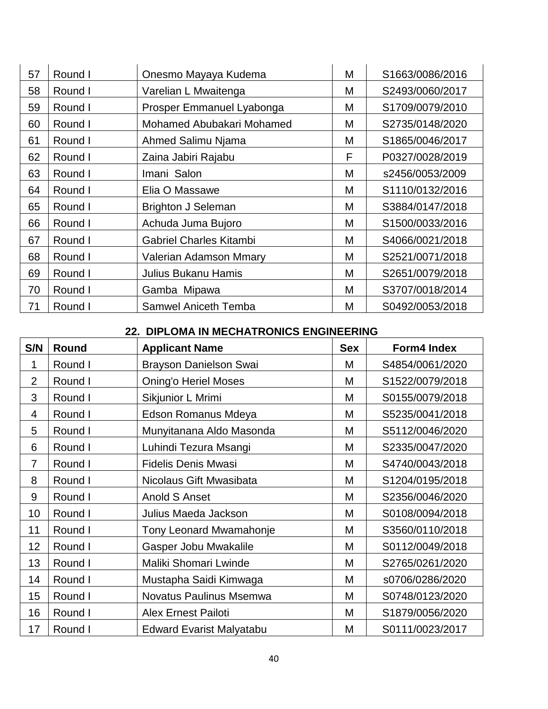| 57 | Round I | Onesmo Mayaya Kudema           | M | S1663/0086/2016 |
|----|---------|--------------------------------|---|-----------------|
| 58 | Round I | Varelian L Mwaitenga           | Μ | S2493/0060/2017 |
| 59 | Round I | Prosper Emmanuel Lyabonga      | M | S1709/0079/2010 |
| 60 | Round I | Mohamed Abubakari Mohamed      | М | S2735/0148/2020 |
| 61 | Round I | Ahmed Salimu Njama             | M | S1865/0046/2017 |
| 62 | Round I | Zaina Jabiri Rajabu            | F | P0327/0028/2019 |
| 63 | Round I | Imani Salon                    | M | s2456/0053/2009 |
| 64 | Round I | Elia O Massawe                 | М | S1110/0132/2016 |
| 65 | Round I | <b>Brighton J Seleman</b>      | M | S3884/0147/2018 |
| 66 | Round I | Achuda Juma Bujoro             | M | S1500/0033/2016 |
| 67 | Round I | <b>Gabriel Charles Kitambi</b> | M | S4066/0021/2018 |
| 68 | Round I | Valerian Adamson Mmary         | M | S2521/0071/2018 |
| 69 | Round I | <b>Julius Bukanu Hamis</b>     | M | S2651/0079/2018 |
| 70 | Round I | Gamba Mipawa                   | М | S3707/0018/2014 |
| 71 | Round I | <b>Samwel Aniceth Temba</b>    | M | S0492/0053/2018 |

#### **22. DIPLOMA IN MECHATRONICS ENGINEERING**

| S/N            | Round   | <b>Applicant Name</b>           | <b>Sex</b> | Form4 Index     |
|----------------|---------|---------------------------------|------------|-----------------|
| 1              | Round I | Brayson Danielson Swai          | М          | S4854/0061/2020 |
| $\overline{2}$ | Round I | <b>Oning'o Heriel Moses</b>     | М          | S1522/0079/2018 |
| 3              | Round I | Sikjunior L Mrimi               | М          | S0155/0079/2018 |
| 4              | Round I | Edson Romanus Mdeya             | M          | S5235/0041/2018 |
| 5              | Round I | Munyitanana Aldo Masonda        | M          | S5112/0046/2020 |
| 6              | Round I | Luhindi Tezura Msangi           | M          | S2335/0047/2020 |
| $\overline{7}$ | Round I | <b>Fidelis Denis Mwasi</b>      | M          | S4740/0043/2018 |
| 8              | Round I | Nicolaus Gift Mwasibata         | M          | S1204/0195/2018 |
| 9              | Round I | Anold S Anset                   | M          | S2356/0046/2020 |
| 10             | Round I | Julius Maeda Jackson            | M          | S0108/0094/2018 |
| 11             | Round I | <b>Tony Leonard Mwamahonje</b>  | M          | S3560/0110/2018 |
| 12             | Round I | Gasper Jobu Mwakalile           | M          | S0112/0049/2018 |
| 13             | Round I | Maliki Shomari Lwinde           | M          | S2765/0261/2020 |
| 14             | Round I | Mustapha Saidi Kimwaga          | M          | s0706/0286/2020 |
| 15             | Round I | Novatus Paulinus Msemwa         | M          | S0748/0123/2020 |
| 16             | Round I | <b>Alex Ernest Pailoti</b>      | M          | S1879/0056/2020 |
| 17             | Round I | <b>Edward Evarist Malyatabu</b> | M          | S0111/0023/2017 |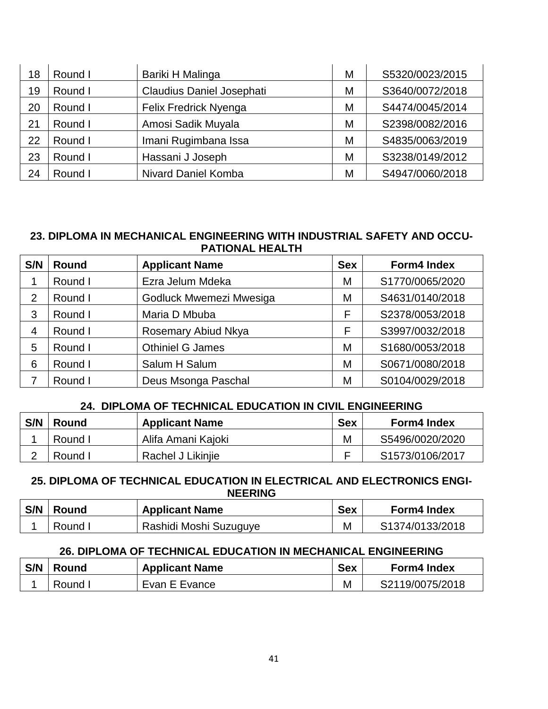| 18 | Round I | Bariki H Malinga                 | М | S5320/0023/2015 |
|----|---------|----------------------------------|---|-----------------|
| 19 | Round I | <b>Claudius Daniel Josephati</b> | M | S3640/0072/2018 |
| 20 | Round I | Felix Fredrick Nyenga            | M | S4474/0045/2014 |
| 21 | Round I | Amosi Sadik Muyala               | M | S2398/0082/2016 |
| 22 | Round I | Imani Rugimbana Issa             | М | S4835/0063/2019 |
| 23 | Round I | Hassani J Joseph                 | M | S3238/0149/2012 |
| 24 | Round I | <b>Nivard Daniel Komba</b>       | M | S4947/0060/2018 |

#### **23. DIPLOMA IN MECHANICAL ENGINEERING WITH INDUSTRIAL SAFETY AND OCCU-PATIONAL HEALTH**

| S/N            | <b>Round</b> | <b>Applicant Name</b>   | <b>Sex</b> | <b>Form4 Index</b> |
|----------------|--------------|-------------------------|------------|--------------------|
|                | Round I      | Ezra Jelum Mdeka        | M          | S1770/0065/2020    |
| $\overline{2}$ | Round I      | Godluck Mwemezi Mwesiga | M          | S4631/0140/2018    |
| 3              | Round I      | Maria D Mbuba           | F          | S2378/0053/2018    |
| 4              | Round I      | Rosemary Abiud Nkya     | F          | S3997/0032/2018    |
| 5              | Round I      | <b>Othiniel G James</b> | M          | S1680/0053/2018    |
| 6              | Round I      | Salum H Salum           | M          | S0671/0080/2018    |
|                | Round I      | Deus Msonga Paschal     | M          | S0104/0029/2018    |

## **24. DIPLOMA OF TECHNICAL EDUCATION IN CIVIL ENGINEERING**

| S/N | <b>Round</b> | <b>Applicant Name</b> | <b>Sex</b> | <b>Form4 Index</b> |
|-----|--------------|-----------------------|------------|--------------------|
|     | Round I      | Alifa Amani Kajoki    | M          | S5496/0020/2020    |
|     | Round I      | Rachel J Likiniie     |            | S1573/0106/2017    |

#### **25. DIPLOMA OF TECHNICAL EDUCATION IN ELECTRICAL AND ELECTRONICS ENGI-NEERING**

| S/N | <b>Round</b> | <b>Applicant Name</b>  | <b>Sex</b> | <b>Form4 Index</b> |
|-----|--------------|------------------------|------------|--------------------|
|     | Round L      | Rashidi Moshi Suzuguye | M          | S1374/0133/2018    |

## **26. DIPLOMA OF TECHNICAL EDUCATION IN MECHANICAL ENGINEERING**

| S/N   Round | <b>Applicant Name</b> | <b>Sex</b> | <b>Form4 Index</b> |
|-------------|-----------------------|------------|--------------------|
| Round I     | Evan E Evance         |            | S2119/0075/2018    |